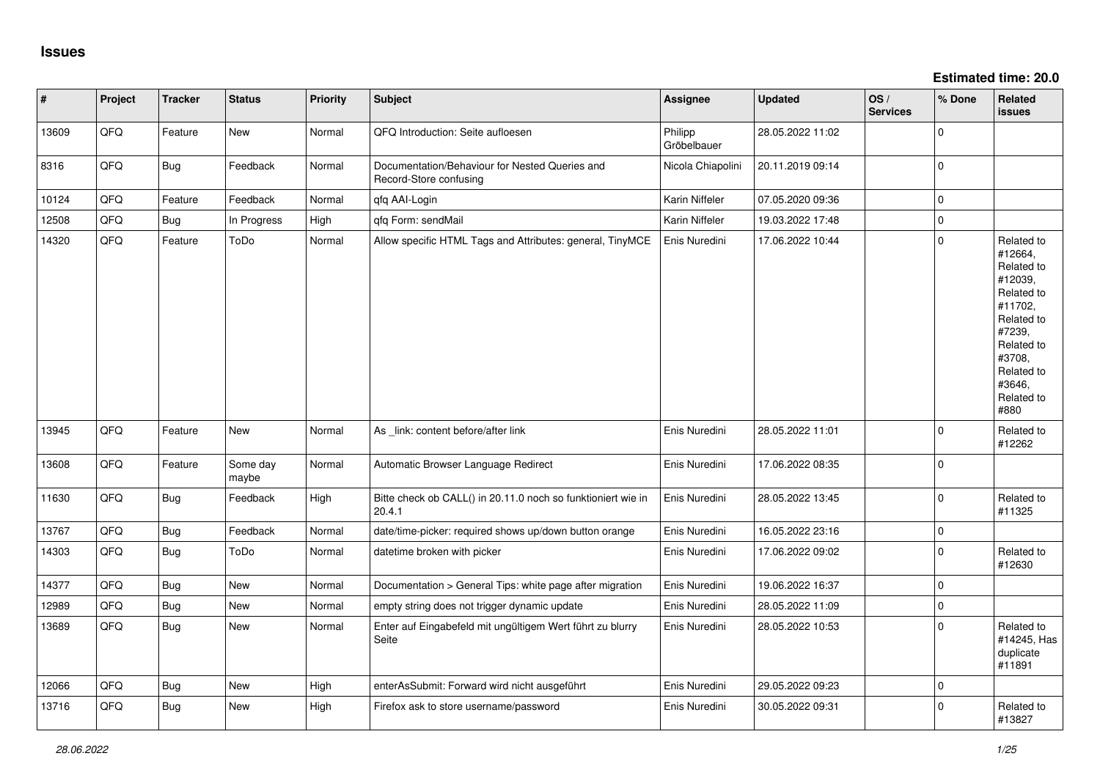| $\vert$ # | Project | <b>Tracker</b> | <b>Status</b>     | <b>Priority</b> | <b>Subject</b>                                                           | Assignee               | <b>Updated</b>   | OS/<br><b>Services</b> | % Done      | Related<br>issues                                                                                                                                                     |
|-----------|---------|----------------|-------------------|-----------------|--------------------------------------------------------------------------|------------------------|------------------|------------------------|-------------|-----------------------------------------------------------------------------------------------------------------------------------------------------------------------|
| 13609     | QFQ     | Feature        | <b>New</b>        | Normal          | QFQ Introduction: Seite aufloesen                                        | Philipp<br>Gröbelbauer | 28.05.2022 11:02 |                        | $\Omega$    |                                                                                                                                                                       |
| 8316      | QFQ     | Bug            | Feedback          | Normal          | Documentation/Behaviour for Nested Queries and<br>Record-Store confusing | Nicola Chiapolini      | 20.11.2019 09:14 |                        | $\Omega$    |                                                                                                                                                                       |
| 10124     | QFQ     | Feature        | Feedback          | Normal          | qfq AAI-Login                                                            | Karin Niffeler         | 07.05.2020 09:36 |                        | $\Omega$    |                                                                                                                                                                       |
| 12508     | QFQ     | Bug            | In Progress       | High            | qfq Form: sendMail                                                       | Karin Niffeler         | 19.03.2022 17:48 |                        | $\Omega$    |                                                                                                                                                                       |
| 14320     | QFQ     | Feature        | ToDo              | Normal          | Allow specific HTML Tags and Attributes: general, TinyMCE                | Enis Nuredini          | 17.06.2022 10:44 |                        | $\Omega$    | Related to<br>#12664,<br>Related to<br>#12039,<br>Related to<br>#11702,<br>Related to<br>#7239,<br>Related to<br>#3708,<br>Related to<br>#3646.<br>Related to<br>#880 |
| 13945     | QFQ     | Feature        | New               | Normal          | As _link: content before/after link                                      | Enis Nuredini          | 28.05.2022 11:01 |                        | $\Omega$    | Related to<br>#12262                                                                                                                                                  |
| 13608     | QFQ     | Feature        | Some day<br>maybe | Normal          | Automatic Browser Language Redirect                                      | Enis Nuredini          | 17.06.2022 08:35 |                        | $\Omega$    |                                                                                                                                                                       |
| 11630     | QFQ     | Bug            | Feedback          | High            | Bitte check ob CALL() in 20.11.0 noch so funktioniert wie in<br>20.4.1   | Enis Nuredini          | 28.05.2022 13:45 |                        | $\Omega$    | Related to<br>#11325                                                                                                                                                  |
| 13767     | QFQ     | <b>Bug</b>     | Feedback          | Normal          | date/time-picker: required shows up/down button orange                   | Enis Nuredini          | 16.05.2022 23:16 |                        | 0           |                                                                                                                                                                       |
| 14303     | QFQ     | <b>Bug</b>     | ToDo              | Normal          | datetime broken with picker                                              | Enis Nuredini          | 17.06.2022 09:02 |                        | $\Omega$    | Related to<br>#12630                                                                                                                                                  |
| 14377     | QFQ     | Bug            | New               | Normal          | Documentation > General Tips: white page after migration                 | Enis Nuredini          | 19.06.2022 16:37 |                        | $\mathbf 0$ |                                                                                                                                                                       |
| 12989     | QFQ     | <b>Bug</b>     | <b>New</b>        | Normal          | empty string does not trigger dynamic update                             | Enis Nuredini          | 28.05.2022 11:09 |                        | $\Omega$    |                                                                                                                                                                       |
| 13689     | QFQ     | Bug            | New               | Normal          | Enter auf Eingabefeld mit ungültigem Wert führt zu blurry<br>Seite       | Enis Nuredini          | 28.05.2022 10:53 |                        | $\Omega$    | Related to<br>#14245, Has<br>duplicate<br>#11891                                                                                                                      |
| 12066     | QFQ     | Bug            | New               | High            | enterAsSubmit: Forward wird nicht ausgeführt                             | Enis Nuredini          | 29.05.2022 09:23 |                        | $\Omega$    |                                                                                                                                                                       |
| 13716     | QFQ     | <b>Bug</b>     | <b>New</b>        | High            | Firefox ask to store username/password                                   | Enis Nuredini          | 30.05.2022 09:31 |                        | $\Omega$    | Related to<br>#13827                                                                                                                                                  |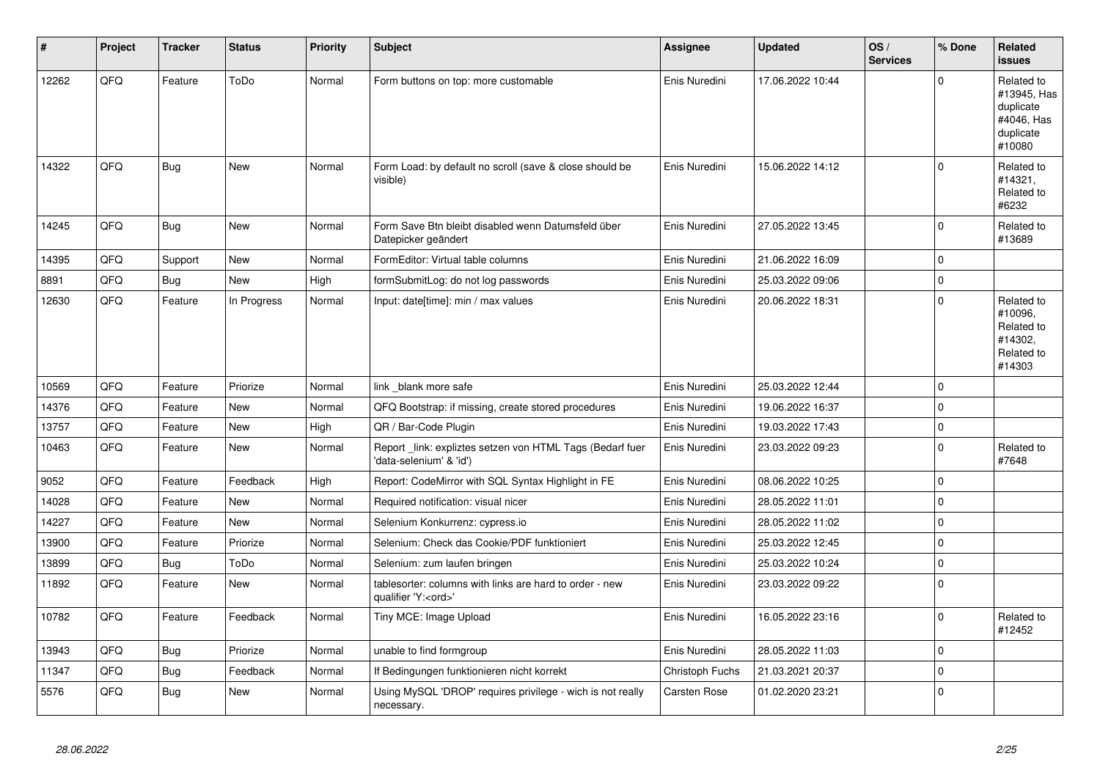| #     | Project | <b>Tracker</b> | <b>Status</b> | <b>Priority</b> | <b>Subject</b>                                                                        | <b>Assignee</b> | <b>Updated</b>   | OS/<br><b>Services</b> | % Done      | Related<br><b>issues</b>                                                    |
|-------|---------|----------------|---------------|-----------------|---------------------------------------------------------------------------------------|-----------------|------------------|------------------------|-------------|-----------------------------------------------------------------------------|
| 12262 | QFQ     | Feature        | ToDo          | Normal          | Form buttons on top: more customable                                                  | Enis Nuredini   | 17.06.2022 10:44 |                        | $\Omega$    | Related to<br>#13945, Has<br>duplicate<br>#4046, Has<br>duplicate<br>#10080 |
| 14322 | QFQ     | Bug            | New           | Normal          | Form Load: by default no scroll (save & close should be<br>visible)                   | Enis Nuredini   | 15.06.2022 14:12 |                        | $\Omega$    | Related to<br>#14321,<br>Related to<br>#6232                                |
| 14245 | QFQ     | <b>Bug</b>     | <b>New</b>    | Normal          | Form Save Btn bleibt disabled wenn Datumsfeld über<br>Datepicker geändert             | Enis Nuredini   | 27.05.2022 13:45 |                        | $\Omega$    | Related to<br>#13689                                                        |
| 14395 | QFQ     | Support        | <b>New</b>    | Normal          | FormEditor: Virtual table columns                                                     | Enis Nuredini   | 21.06.2022 16:09 |                        | 0           |                                                                             |
| 8891  | QFQ     | <b>Bug</b>     | <b>New</b>    | High            | formSubmitLog: do not log passwords                                                   | Enis Nuredini   | 25.03.2022 09:06 |                        | $\Omega$    |                                                                             |
| 12630 | QFQ     | Feature        | In Progress   | Normal          | Input: date[time]: min / max values                                                   | Enis Nuredini   | 20.06.2022 18:31 |                        | $\Omega$    | Related to<br>#10096,<br>Related to<br>#14302.<br>Related to<br>#14303      |
| 10569 | QFQ     | Feature        | Priorize      | Normal          | link blank more safe                                                                  | Enis Nuredini   | 25.03.2022 12:44 |                        | $\Omega$    |                                                                             |
| 14376 | QFQ     | Feature        | New           | Normal          | QFQ Bootstrap: if missing, create stored procedures                                   | Enis Nuredini   | 19.06.2022 16:37 |                        | $\Omega$    |                                                                             |
| 13757 | QFQ     | Feature        | New           | High            | QR / Bar-Code Plugin                                                                  | Enis Nuredini   | 19.03.2022 17:43 |                        | $\mathbf 0$ |                                                                             |
| 10463 | QFQ     | Feature        | New           | Normal          | Report _link: expliztes setzen von HTML Tags (Bedarf fuer<br>'data-selenium' & 'id')  | Enis Nuredini   | 23.03.2022 09:23 |                        | $\mathbf 0$ | Related to<br>#7648                                                         |
| 9052  | QFQ     | Feature        | Feedback      | High            | Report: CodeMirror with SQL Syntax Highlight in FE                                    | Enis Nuredini   | 08.06.2022 10:25 |                        | $\Omega$    |                                                                             |
| 14028 | QFQ     | Feature        | New           | Normal          | Required notification: visual nicer                                                   | Enis Nuredini   | 28.05.2022 11:01 |                        | $\Omega$    |                                                                             |
| 14227 | QFQ     | Feature        | <b>New</b>    | Normal          | Selenium Konkurrenz: cypress.io                                                       | Enis Nuredini   | 28.05.2022 11:02 |                        | $\Omega$    |                                                                             |
| 13900 | QFQ     | Feature        | Priorize      | Normal          | Selenium: Check das Cookie/PDF funktioniert                                           | Enis Nuredini   | 25.03.2022 12:45 |                        | $\Omega$    |                                                                             |
| 13899 | QFQ     | <b>Bug</b>     | ToDo          | Normal          | Selenium: zum laufen bringen                                                          | Enis Nuredini   | 25.03.2022 10:24 |                        | $\Omega$    |                                                                             |
| 11892 | QFQ     | Feature        | New           | Normal          | tablesorter: columns with links are hard to order - new<br>qualifier 'Y: <ord>'</ord> | Enis Nuredini   | 23.03.2022 09:22 |                        | $\Omega$    |                                                                             |
| 10782 | QFQ     | Feature        | Feedback      | Normal          | Tiny MCE: Image Upload                                                                | Enis Nuredini   | 16.05.2022 23:16 |                        | $\Omega$    | Related to<br>#12452                                                        |
| 13943 | QFQ     | Bug            | Priorize      | Normal          | unable to find formgroup                                                              | Enis Nuredini   | 28.05.2022 11:03 |                        | $\Omega$    |                                                                             |
| 11347 | QFQ     | <b>Bug</b>     | Feedback      | Normal          | If Bedingungen funktionieren nicht korrekt                                            | Christoph Fuchs | 21.03.2021 20:37 |                        | 0           |                                                                             |
| 5576  | QFQ     | <b>Bug</b>     | New           | Normal          | Using MySQL 'DROP' requires privilege - wich is not really<br>necessary.              | Carsten Rose    | 01.02.2020 23:21 |                        | $\Omega$    |                                                                             |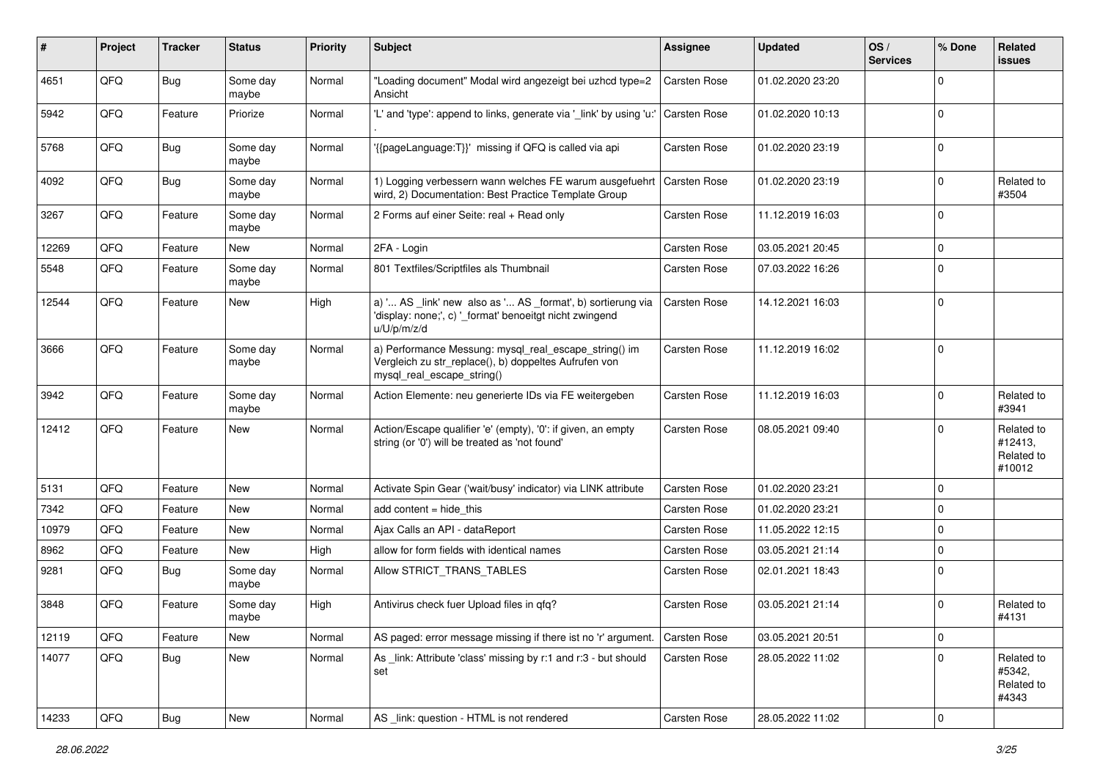| ∦     | Project        | <b>Tracker</b> | <b>Status</b>     | <b>Priority</b> | Subject                                                                                                                                      | Assignee            | <b>Updated</b>   | OS/<br><b>Services</b> | % Done      | Related<br>issues                             |
|-------|----------------|----------------|-------------------|-----------------|----------------------------------------------------------------------------------------------------------------------------------------------|---------------------|------------------|------------------------|-------------|-----------------------------------------------|
| 4651  | QFQ            | Bug            | Some day<br>maybe | Normal          | "Loading document" Modal wird angezeigt bei uzhcd type=2<br>Ansicht                                                                          | Carsten Rose        | 01.02.2020 23:20 |                        | $\Omega$    |                                               |
| 5942  | QFQ            | Feature        | Priorize          | Normal          | "L' and 'type': append to links, generate via '_link' by using 'u:'                                                                          | <b>Carsten Rose</b> | 01.02.2020 10:13 |                        | $\Omega$    |                                               |
| 5768  | QFQ            | <b>Bug</b>     | Some day<br>maybe | Normal          | '{{pageLanguage:T}}' missing if QFQ is called via api                                                                                        | <b>Carsten Rose</b> | 01.02.2020 23:19 |                        | $\Omega$    |                                               |
| 4092  | QFQ            | <b>Bug</b>     | Some day<br>maybe | Normal          | 1) Logging verbessern wann welches FE warum ausgefuehrt<br>wird, 2) Documentation: Best Practice Template Group                              | Carsten Rose        | 01.02.2020 23:19 |                        | $\Omega$    | Related to<br>#3504                           |
| 3267  | QFQ            | Feature        | Some day<br>maybe | Normal          | 2 Forms auf einer Seite: real + Read only                                                                                                    | <b>Carsten Rose</b> | 11.12.2019 16:03 |                        | $\Omega$    |                                               |
| 12269 | QFQ            | Feature        | New               | Normal          | 2FA - Login                                                                                                                                  | <b>Carsten Rose</b> | 03.05.2021 20:45 |                        | $\Omega$    |                                               |
| 5548  | QFQ            | Feature        | Some day<br>maybe | Normal          | 801 Textfiles/Scriptfiles als Thumbnail                                                                                                      | <b>Carsten Rose</b> | 07.03.2022 16:26 |                        | 0           |                                               |
| 12544 | QFQ            | Feature        | New               | High            | a) ' AS _link' new also as ' AS _format', b) sortierung via<br>'display: none;', c) '_format' benoeitgt nicht zwingend<br>u/U/p/m/z/d        | <b>Carsten Rose</b> | 14.12.2021 16:03 |                        | $\mathbf 0$ |                                               |
| 3666  | QFQ            | Feature        | Some day<br>maybe | Normal          | a) Performance Messung: mysql_real_escape_string() im<br>Vergleich zu str_replace(), b) doppeltes Aufrufen von<br>mysql_real_escape_string() | <b>Carsten Rose</b> | 11.12.2019 16:02 |                        | 0           |                                               |
| 3942  | QFQ            | Feature        | Some day<br>maybe | Normal          | Action Elemente: neu generierte IDs via FE weitergeben                                                                                       | <b>Carsten Rose</b> | 11.12.2019 16:03 |                        | 0 I         | Related to<br>#3941                           |
| 12412 | QFQ            | Feature        | New               | Normal          | Action/Escape qualifier 'e' (empty), '0': if given, an empty<br>string (or '0') will be treated as 'not found'                               | <b>Carsten Rose</b> | 08.05.2021 09:40 |                        | $\Omega$    | Related to<br>#12413,<br>Related to<br>#10012 |
| 5131  | QFQ            | Feature        | <b>New</b>        | Normal          | Activate Spin Gear ('wait/busy' indicator) via LINK attribute                                                                                | <b>Carsten Rose</b> | 01.02.2020 23:21 |                        | $\Omega$    |                                               |
| 7342  | QFQ            | Feature        | New               | Normal          | add content $=$ hide this                                                                                                                    | <b>Carsten Rose</b> | 01.02.2020 23:21 |                        | $\Omega$    |                                               |
| 10979 | QFQ            | Feature        | New               | Normal          | Ajax Calls an API - dataReport                                                                                                               | Carsten Rose        | 11.05.2022 12:15 |                        | $\mathbf 0$ |                                               |
| 8962  | QFQ            | Feature        | New               | High            | allow for form fields with identical names                                                                                                   | Carsten Rose        | 03.05.2021 21:14 |                        | $\Omega$    |                                               |
| 9281  | QFQ            | <b>Bug</b>     | Some day<br>maybe | Normal          | Allow STRICT TRANS TABLES                                                                                                                    | Carsten Rose        | 02.01.2021 18:43 |                        | $\Omega$    |                                               |
| 3848  | QFQ            | Feature        | Some day<br>maybe | High            | Antivirus check fuer Upload files in gfg?                                                                                                    | <b>Carsten Rose</b> | 03.05.2021 21:14 |                        | $\Omega$    | Related to<br>#4131                           |
| 12119 | QFO            | Feature        | New               | Normal          | AS paged: error message missing if there ist no 'r' argument.                                                                                | Carsten Rose        | 03.05.2021 20:51 |                        | 0           |                                               |
| 14077 | QFQ            | <b>Bug</b>     | New               | Normal          | As link: Attribute 'class' missing by r:1 and r:3 - but should<br>set                                                                        | Carsten Rose        | 28.05.2022 11:02 |                        | $\Omega$    | Related to<br>#5342,<br>Related to<br>#4343   |
| 14233 | $\mathsf{QFQ}$ | Bug            | New               | Normal          | AS _link: question - HTML is not rendered                                                                                                    | Carsten Rose        | 28.05.2022 11:02 |                        | 0           |                                               |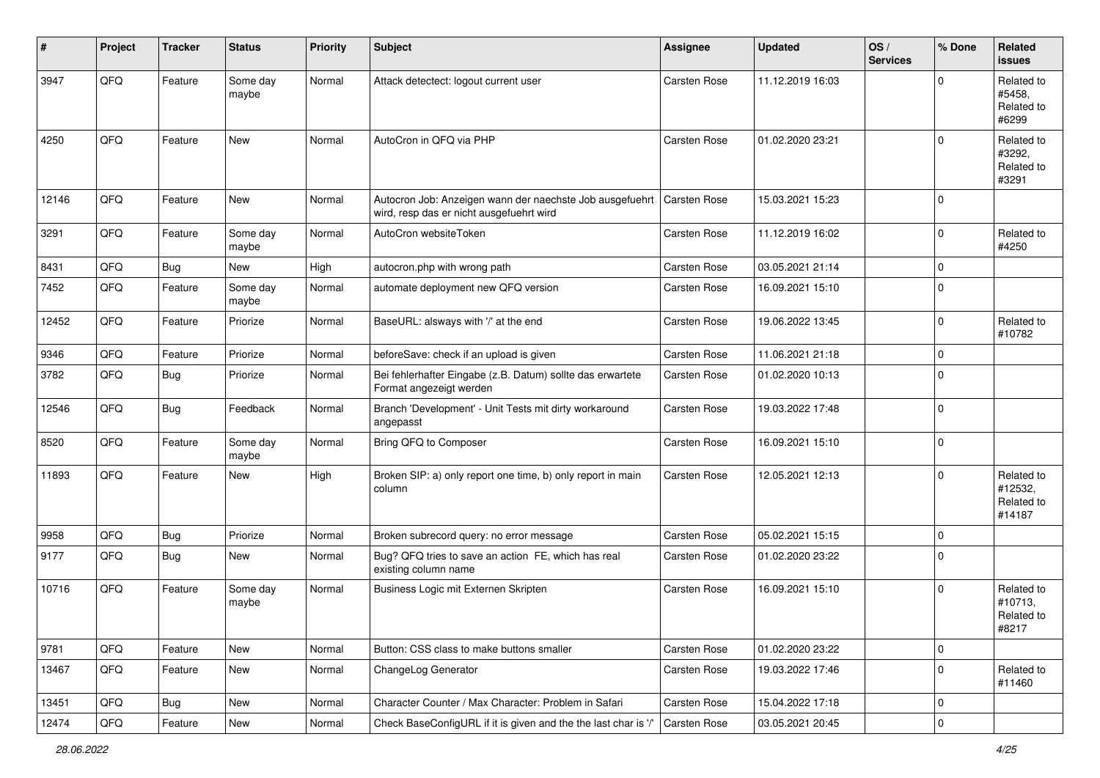| $\sharp$ | Project | <b>Tracker</b> | <b>Status</b>     | <b>Priority</b> | Subject                                                                                              | <b>Assignee</b>     | <b>Updated</b>   | OS/<br><b>Services</b> | % Done      | Related<br><b>issues</b>                      |
|----------|---------|----------------|-------------------|-----------------|------------------------------------------------------------------------------------------------------|---------------------|------------------|------------------------|-------------|-----------------------------------------------|
| 3947     | QFQ     | Feature        | Some day<br>maybe | Normal          | Attack detectect: logout current user                                                                | <b>Carsten Rose</b> | 11.12.2019 16:03 |                        | U           | Related to<br>#5458,<br>Related to<br>#6299   |
| 4250     | QFQ     | Feature        | New               | Normal          | AutoCron in QFQ via PHP                                                                              | Carsten Rose        | 01.02.2020 23:21 |                        | $\Omega$    | Related to<br>#3292,<br>Related to<br>#3291   |
| 12146    | QFQ     | Feature        | New               | Normal          | Autocron Job: Anzeigen wann der naechste Job ausgefuehrt<br>wird, resp das er nicht ausgefuehrt wird | <b>Carsten Rose</b> | 15.03.2021 15:23 |                        | $\Omega$    |                                               |
| 3291     | QFQ     | Feature        | Some day<br>maybe | Normal          | AutoCron websiteToken                                                                                | Carsten Rose        | 11.12.2019 16:02 |                        | 0           | Related to<br>#4250                           |
| 8431     | QFQ     | Bug            | New               | High            | autocron.php with wrong path                                                                         | <b>Carsten Rose</b> | 03.05.2021 21:14 |                        | $\Omega$    |                                               |
| 7452     | QFQ     | Feature        | Some day<br>maybe | Normal          | automate deployment new QFQ version                                                                  | Carsten Rose        | 16.09.2021 15:10 |                        | $\Omega$    |                                               |
| 12452    | QFQ     | Feature        | Priorize          | Normal          | BaseURL: alsways with '/' at the end                                                                 | <b>Carsten Rose</b> | 19.06.2022 13:45 |                        | $\Omega$    | Related to<br>#10782                          |
| 9346     | QFQ     | Feature        | Priorize          | Normal          | beforeSave: check if an upload is given                                                              | Carsten Rose        | 11.06.2021 21:18 |                        | $\mathbf 0$ |                                               |
| 3782     | QFQ     | <b>Bug</b>     | Priorize          | Normal          | Bei fehlerhafter Eingabe (z.B. Datum) sollte das erwartete<br>Format angezeigt werden                | Carsten Rose        | 01.02.2020 10:13 |                        | $\Omega$    |                                               |
| 12546    | QFQ     | Bug            | Feedback          | Normal          | Branch 'Development' - Unit Tests mit dirty workaround<br>angepasst                                  | Carsten Rose        | 19.03.2022 17:48 |                        | $\mathbf 0$ |                                               |
| 8520     | QFQ     | Feature        | Some day<br>maybe | Normal          | Bring QFQ to Composer                                                                                | <b>Carsten Rose</b> | 16.09.2021 15:10 |                        | $\mathbf 0$ |                                               |
| 11893    | QFQ     | Feature        | <b>New</b>        | High            | Broken SIP: a) only report one time, b) only report in main<br>column                                | <b>Carsten Rose</b> | 12.05.2021 12:13 |                        | $\Omega$    | Related to<br>#12532,<br>Related to<br>#14187 |
| 9958     | QFQ     | Bug            | Priorize          | Normal          | Broken subrecord query: no error message                                                             | <b>Carsten Rose</b> | 05.02.2021 15:15 |                        | $\Omega$    |                                               |
| 9177     | QFQ     | Bug            | New               | Normal          | Bug? QFQ tries to save an action FE, which has real<br>existing column name                          | Carsten Rose        | 01.02.2020 23:22 |                        | $\Omega$    |                                               |
| 10716    | QFQ     | Feature        | Some day<br>maybe | Normal          | Business Logic mit Externen Skripten                                                                 | <b>Carsten Rose</b> | 16.09.2021 15:10 |                        | $\Omega$    | Related to<br>#10713,<br>Related to<br>#8217  |
| 9781     | QFQ     | Feature        | New               | Normal          | Button: CSS class to make buttons smaller                                                            | Carsten Rose        | 01.02.2020 23:22 |                        | 0           |                                               |
| 13467    | QFQ     | Feature        | New               | Normal          | ChangeLog Generator                                                                                  | Carsten Rose        | 19.03.2022 17:46 |                        | $\Omega$    | Related to<br>#11460                          |
| 13451    | QFQ     | <b>Bug</b>     | New               | Normal          | Character Counter / Max Character: Problem in Safari                                                 | Carsten Rose        | 15.04.2022 17:18 |                        | 0           |                                               |
| 12474    | QFQ     | Feature        | New               | Normal          | Check BaseConfigURL if it is given and the the last char is '/'                                      | Carsten Rose        | 03.05.2021 20:45 |                        | 0           |                                               |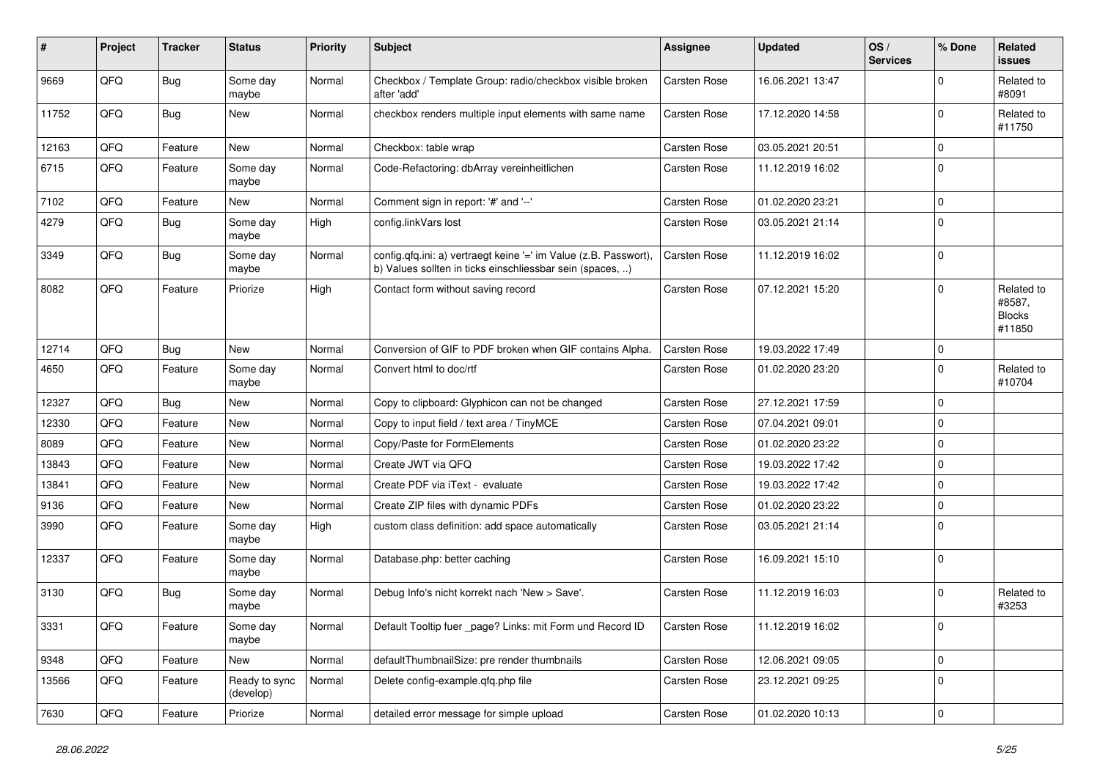| #     | Project | <b>Tracker</b> | <b>Status</b>              | <b>Priority</b> | <b>Subject</b>                                                                                                                | Assignee            | <b>Updated</b>   | OS/<br><b>Services</b> | % Done       | Related<br>issues                               |
|-------|---------|----------------|----------------------------|-----------------|-------------------------------------------------------------------------------------------------------------------------------|---------------------|------------------|------------------------|--------------|-------------------------------------------------|
| 9669  | QFQ     | <b>Bug</b>     | Some day<br>maybe          | Normal          | Checkbox / Template Group: radio/checkbox visible broken<br>after 'add'                                                       | Carsten Rose        | 16.06.2021 13:47 |                        | 0            | Related to<br>#8091                             |
| 11752 | QFQ     | <b>Bug</b>     | New                        | Normal          | checkbox renders multiple input elements with same name                                                                       | <b>Carsten Rose</b> | 17.12.2020 14:58 |                        | $\mathbf 0$  | Related to<br>#11750                            |
| 12163 | QFQ     | Feature        | <b>New</b>                 | Normal          | Checkbox: table wrap                                                                                                          | <b>Carsten Rose</b> | 03.05.2021 20:51 |                        | 0            |                                                 |
| 6715  | QFQ     | Feature        | Some day<br>maybe          | Normal          | Code-Refactoring: dbArray vereinheitlichen                                                                                    | <b>Carsten Rose</b> | 11.12.2019 16:02 |                        | $\mathbf 0$  |                                                 |
| 7102  | QFQ     | Feature        | <b>New</b>                 | Normal          | Comment sign in report: '#' and '--'                                                                                          | Carsten Rose        | 01.02.2020 23:21 |                        | 0            |                                                 |
| 4279  | QFQ     | <b>Bug</b>     | Some day<br>maybe          | High            | config.linkVars lost                                                                                                          | <b>Carsten Rose</b> | 03.05.2021 21:14 |                        | $\mathbf 0$  |                                                 |
| 3349  | QFQ     | <b>Bug</b>     | Some day<br>maybe          | Normal          | config.qfq.ini: a) vertraegt keine '=' im Value (z.B. Passwort),<br>b) Values sollten in ticks einschliessbar sein (spaces, ) | <b>Carsten Rose</b> | 11.12.2019 16:02 |                        | $\mathbf 0$  |                                                 |
| 8082  | QFQ     | Feature        | Priorize                   | High            | Contact form without saving record                                                                                            | <b>Carsten Rose</b> | 07.12.2021 15:20 |                        | $\mathbf 0$  | Related to<br>#8587,<br><b>Blocks</b><br>#11850 |
| 12714 | QFQ     | Bug            | <b>New</b>                 | Normal          | Conversion of GIF to PDF broken when GIF contains Alpha.                                                                      | <b>Carsten Rose</b> | 19.03.2022 17:49 |                        | $\mathbf 0$  |                                                 |
| 4650  | QFQ     | Feature        | Some day<br>maybe          | Normal          | Convert html to doc/rtf                                                                                                       | Carsten Rose        | 01.02.2020 23:20 |                        | $\mathbf 0$  | Related to<br>#10704                            |
| 12327 | QFQ     | <b>Bug</b>     | <b>New</b>                 | Normal          | Copy to clipboard: Glyphicon can not be changed                                                                               | Carsten Rose        | 27.12.2021 17:59 |                        | $\mathbf 0$  |                                                 |
| 12330 | QFQ     | Feature        | New                        | Normal          | Copy to input field / text area / TinyMCE                                                                                     | Carsten Rose        | 07.04.2021 09:01 |                        | 0            |                                                 |
| 8089  | QFQ     | Feature        | New                        | Normal          | Copy/Paste for FormElements                                                                                                   | Carsten Rose        | 01.02.2020 23:22 |                        | $\mathbf 0$  |                                                 |
| 13843 | QFQ     | Feature        | <b>New</b>                 | Normal          | Create JWT via QFQ                                                                                                            | Carsten Rose        | 19.03.2022 17:42 |                        | $\mathbf 0$  |                                                 |
| 13841 | QFQ     | Feature        | New                        | Normal          | Create PDF via iText - evaluate                                                                                               | <b>Carsten Rose</b> | 19.03.2022 17:42 |                        | $\mathbf 0$  |                                                 |
| 9136  | QFQ     | Feature        | New                        | Normal          | Create ZIP files with dynamic PDFs                                                                                            | Carsten Rose        | 01.02.2020 23:22 |                        | $\mathbf 0$  |                                                 |
| 3990  | QFQ     | Feature        | Some day<br>maybe          | High            | custom class definition: add space automatically                                                                              | Carsten Rose        | 03.05.2021 21:14 |                        | $\mathbf 0$  |                                                 |
| 12337 | QFQ     | Feature        | Some day<br>maybe          | Normal          | Database.php: better caching                                                                                                  | <b>Carsten Rose</b> | 16.09.2021 15:10 |                        | $\mathbf 0$  |                                                 |
| 3130  | QFQ     | <b>Bug</b>     | Some day<br>maybe          | Normal          | Debug Info's nicht korrekt nach 'New > Save'.                                                                                 | <b>Carsten Rose</b> | 11.12.2019 16:03 |                        | $\mathbf 0$  | Related to<br>#3253                             |
| 3331  | QFQ     | Feature        | Some day<br>maybe          | Normal          | Default Tooltip fuer _page? Links: mit Form und Record ID                                                                     | Carsten Rose        | 11.12.2019 16:02 |                        | 0            |                                                 |
| 9348  | QFQ     | Feature        | New                        | Normal          | defaultThumbnailSize: pre render thumbnails                                                                                   | Carsten Rose        | 12.06.2021 09:05 |                        | $\mathsf{O}$ |                                                 |
| 13566 | QFQ     | Feature        | Ready to sync<br>(develop) | Normal          | Delete config-example.qfq.php file                                                                                            | Carsten Rose        | 23.12.2021 09:25 |                        | 0            |                                                 |
| 7630  | QFG     | Feature        | Priorize                   | Normal          | detailed error message for simple upload                                                                                      | Carsten Rose        | 01.02.2020 10:13 |                        | $\mathbf 0$  |                                                 |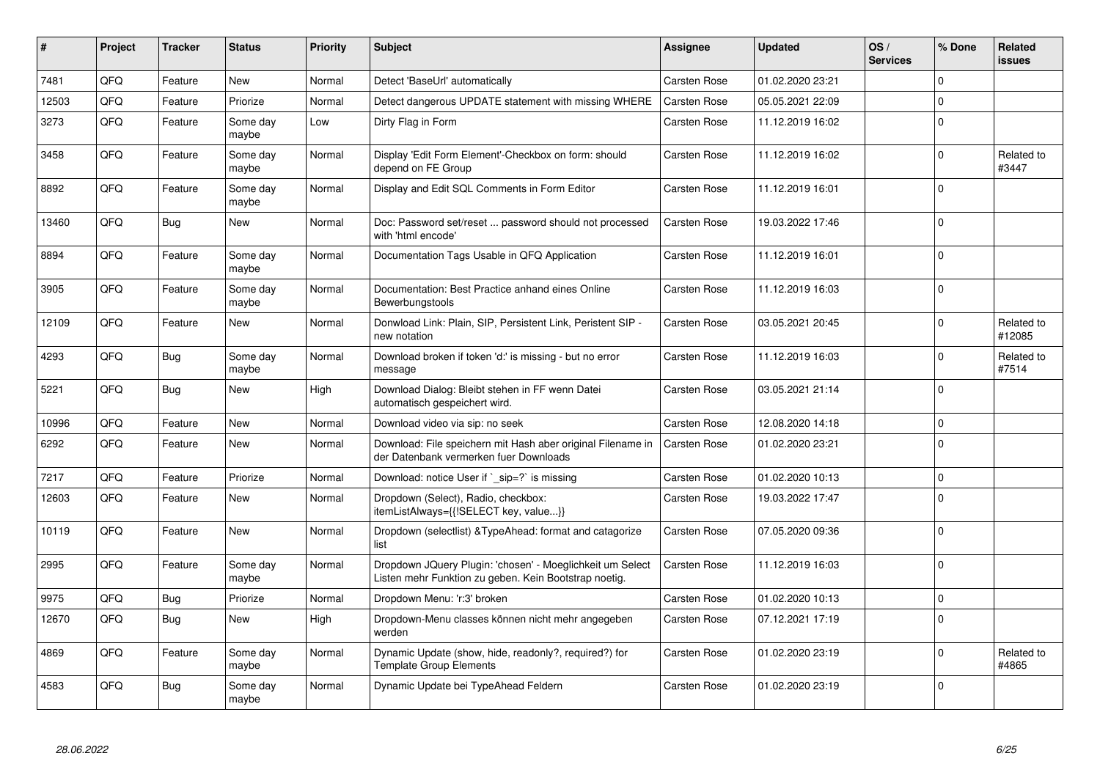| #     | Project | <b>Tracker</b> | <b>Status</b>     | <b>Priority</b> | <b>Subject</b>                                                                                                     | Assignee            | Updated          | OS/<br><b>Services</b> | % Done      | Related<br>issues    |
|-------|---------|----------------|-------------------|-----------------|--------------------------------------------------------------------------------------------------------------------|---------------------|------------------|------------------------|-------------|----------------------|
| 7481  | QFQ     | Feature        | <b>New</b>        | Normal          | Detect 'BaseUrl' automatically                                                                                     | <b>Carsten Rose</b> | 01.02.2020 23:21 |                        | $\Omega$    |                      |
| 12503 | QFQ     | Feature        | Priorize          | Normal          | Detect dangerous UPDATE statement with missing WHERE                                                               | <b>Carsten Rose</b> | 05.05.2021 22:09 |                        | $\Omega$    |                      |
| 3273  | QFQ     | Feature        | Some day<br>maybe | Low             | Dirty Flag in Form                                                                                                 | Carsten Rose        | 11.12.2019 16:02 |                        | $\Omega$    |                      |
| 3458  | QFQ     | Feature        | Some day<br>maybe | Normal          | Display 'Edit Form Element'-Checkbox on form: should<br>depend on FE Group                                         | Carsten Rose        | 11.12.2019 16:02 |                        | $\Omega$    | Related to<br>#3447  |
| 8892  | QFQ     | Feature        | Some day<br>maybe | Normal          | Display and Edit SQL Comments in Form Editor                                                                       | Carsten Rose        | 11.12.2019 16:01 |                        | $\Omega$    |                      |
| 13460 | QFQ     | <b>Bug</b>     | New               | Normal          | Doc: Password set/reset  password should not processed<br>with 'html encode'                                       | Carsten Rose        | 19.03.2022 17:46 |                        | $\Omega$    |                      |
| 8894  | QFQ     | Feature        | Some day<br>maybe | Normal          | Documentation Tags Usable in QFQ Application                                                                       | Carsten Rose        | 11.12.2019 16:01 |                        | $\Omega$    |                      |
| 3905  | QFQ     | Feature        | Some day<br>maybe | Normal          | Documentation: Best Practice anhand eines Online<br>Bewerbungstools                                                | Carsten Rose        | 11.12.2019 16:03 |                        | $\Omega$    |                      |
| 12109 | QFQ     | Feature        | <b>New</b>        | Normal          | Donwload Link: Plain, SIP, Persistent Link, Peristent SIP -<br>new notation                                        | Carsten Rose        | 03.05.2021 20:45 |                        | $\Omega$    | Related to<br>#12085 |
| 4293  | QFQ     | <b>Bug</b>     | Some day<br>maybe | Normal          | Download broken if token 'd:' is missing - but no error<br>message                                                 | Carsten Rose        | 11.12.2019 16:03 |                        | $\mathbf 0$ | Related to<br>#7514  |
| 5221  | QFQ     | <b>Bug</b>     | <b>New</b>        | High            | Download Dialog: Bleibt stehen in FF wenn Datei<br>automatisch gespeichert wird.                                   | Carsten Rose        | 03.05.2021 21:14 |                        | $\Omega$    |                      |
| 10996 | QFQ     | Feature        | New               | Normal          | Download video via sip: no seek                                                                                    | Carsten Rose        | 12.08.2020 14:18 |                        | $\Omega$    |                      |
| 6292  | QFQ     | Feature        | New               | Normal          | Download: File speichern mit Hash aber original Filename in<br>der Datenbank vermerken fuer Downloads              | <b>Carsten Rose</b> | 01.02.2020 23:21 |                        | $\Omega$    |                      |
| 7217  | QFQ     | Feature        | Priorize          | Normal          | Download: notice User if $\degree$ sip=? is missing                                                                | Carsten Rose        | 01.02.2020 10:13 |                        | $\mathbf 0$ |                      |
| 12603 | QFQ     | Feature        | New               | Normal          | Dropdown (Select), Radio, checkbox:<br>itemListAlways={{!SELECT key, value}}                                       | Carsten Rose        | 19.03.2022 17:47 |                        | $\Omega$    |                      |
| 10119 | QFQ     | Feature        | New               | Normal          | Dropdown (selectlist) & Type Ahead: format and catagorize<br>list                                                  | Carsten Rose        | 07.05.2020 09:36 |                        | $\Omega$    |                      |
| 2995  | QFQ     | Feature        | Some day<br>maybe | Normal          | Dropdown JQuery Plugin: 'chosen' - Moeglichkeit um Select<br>Listen mehr Funktion zu geben. Kein Bootstrap noetig. | Carsten Rose        | 11.12.2019 16:03 |                        | $\Omega$    |                      |
| 9975  | QFQ     | <b>Bug</b>     | Priorize          | Normal          | Dropdown Menu: 'r:3' broken                                                                                        | Carsten Rose        | 01.02.2020 10:13 |                        | $\mathbf 0$ |                      |
| 12670 | QFQ     | <b>Bug</b>     | New               | High            | Dropdown-Menu classes können nicht mehr angegeben<br>werden                                                        | Carsten Rose        | 07.12.2021 17:19 |                        | $\Omega$    |                      |
| 4869  | QFQ     | Feature        | Some day<br>maybe | Normal          | Dynamic Update (show, hide, readonly?, required?) for<br><b>Template Group Elements</b>                            | Carsten Rose        | 01.02.2020 23:19 |                        | $\Omega$    | Related to<br>#4865  |
| 4583  | QFQ     | <b>Bug</b>     | Some day<br>maybe | Normal          | Dynamic Update bei TypeAhead Feldern                                                                               | Carsten Rose        | 01.02.2020 23:19 |                        | $\Omega$    |                      |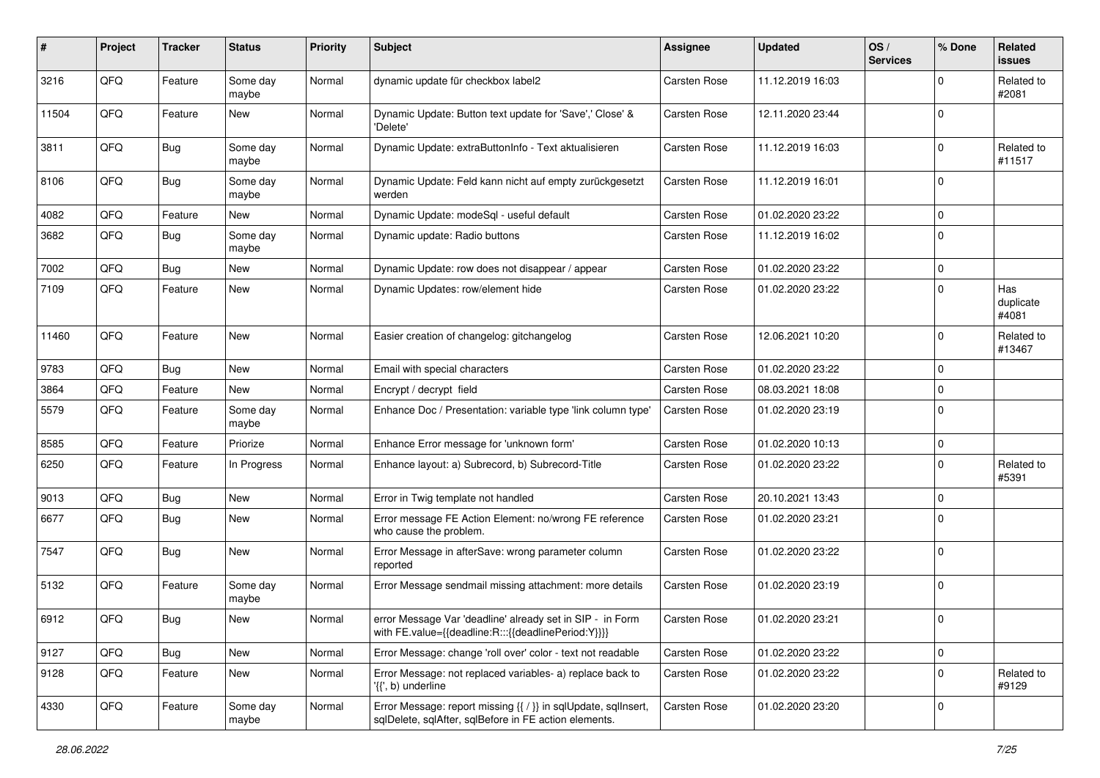| #     | Project | <b>Tracker</b> | <b>Status</b>     | <b>Priority</b> | Subject                                                                                                                 | <b>Assignee</b>     | <b>Updated</b>   | OS/<br><b>Services</b> | % Done      | Related<br>issues         |
|-------|---------|----------------|-------------------|-----------------|-------------------------------------------------------------------------------------------------------------------------|---------------------|------------------|------------------------|-------------|---------------------------|
| 3216  | QFQ     | Feature        | Some day<br>maybe | Normal          | dynamic update für checkbox label2                                                                                      | Carsten Rose        | 11.12.2019 16:03 |                        | 0           | Related to<br>#2081       |
| 11504 | QFQ     | Feature        | New               | Normal          | Dynamic Update: Button text update for 'Save',' Close' &<br>'Delete'                                                    | <b>Carsten Rose</b> | 12.11.2020 23:44 |                        | $\mathbf 0$ |                           |
| 3811  | QFQ     | <b>Bug</b>     | Some day<br>maybe | Normal          | Dynamic Update: extraButtonInfo - Text aktualisieren                                                                    | <b>Carsten Rose</b> | 11.12.2019 16:03 |                        | 0           | Related to<br>#11517      |
| 8106  | QFQ     | <b>Bug</b>     | Some day<br>maybe | Normal          | Dynamic Update: Feld kann nicht auf empty zurückgesetzt<br>werden                                                       | <b>Carsten Rose</b> | 11.12.2019 16:01 |                        | $\mathbf 0$ |                           |
| 4082  | QFQ     | Feature        | <b>New</b>        | Normal          | Dynamic Update: modeSql - useful default                                                                                | Carsten Rose        | 01.02.2020 23:22 |                        | 0           |                           |
| 3682  | QFQ     | Bug            | Some day<br>maybe | Normal          | Dynamic update: Radio buttons                                                                                           | Carsten Rose        | 11.12.2019 16:02 |                        | 0           |                           |
| 7002  | QFQ     | Bug            | New               | Normal          | Dynamic Update: row does not disappear / appear                                                                         | <b>Carsten Rose</b> | 01.02.2020 23:22 |                        | $\mathbf 0$ |                           |
| 7109  | QFQ     | Feature        | <b>New</b>        | Normal          | Dynamic Updates: row/element hide                                                                                       | <b>Carsten Rose</b> | 01.02.2020 23:22 |                        | 0           | Has<br>duplicate<br>#4081 |
| 11460 | QFQ     | Feature        | <b>New</b>        | Normal          | Easier creation of changelog: gitchangelog                                                                              | <b>Carsten Rose</b> | 12.06.2021 10:20 |                        | $\mathbf 0$ | Related to<br>#13467      |
| 9783  | QFQ     | Bug            | New               | Normal          | Email with special characters                                                                                           | <b>Carsten Rose</b> | 01.02.2020 23:22 |                        | 0           |                           |
| 3864  | QFQ     | Feature        | <b>New</b>        | Normal          | Encrypt / decrypt field                                                                                                 | <b>Carsten Rose</b> | 08.03.2021 18:08 |                        | $\mathbf 0$ |                           |
| 5579  | QFQ     | Feature        | Some day<br>maybe | Normal          | Enhance Doc / Presentation: variable type 'link column type'                                                            | <b>Carsten Rose</b> | 01.02.2020 23:19 |                        | $\mathbf 0$ |                           |
| 8585  | QFQ     | Feature        | Priorize          | Normal          | Enhance Error message for 'unknown form'                                                                                | Carsten Rose        | 01.02.2020 10:13 |                        | 0           |                           |
| 6250  | QFQ     | Feature        | In Progress       | Normal          | Enhance layout: a) Subrecord, b) Subrecord-Title                                                                        | Carsten Rose        | 01.02.2020 23:22 |                        | 0           | Related to<br>#5391       |
| 9013  | QFQ     | <b>Bug</b>     | <b>New</b>        | Normal          | Error in Twig template not handled                                                                                      | Carsten Rose        | 20.10.2021 13:43 |                        | 0           |                           |
| 6677  | QFQ     | <b>Bug</b>     | New               | Normal          | Error message FE Action Element: no/wrong FE reference<br>who cause the problem.                                        | Carsten Rose        | 01.02.2020 23:21 |                        | $\mathbf 0$ |                           |
| 7547  | QFQ     | <b>Bug</b>     | <b>New</b>        | Normal          | Error Message in afterSave: wrong parameter column<br>reported                                                          | Carsten Rose        | 01.02.2020 23:22 |                        | 0           |                           |
| 5132  | QFQ     | Feature        | Some day<br>maybe | Normal          | Error Message sendmail missing attachment: more details                                                                 | Carsten Rose        | 01.02.2020 23:19 |                        | 0           |                           |
| 6912  | QFQ     | Bug            | New               | Normal          | error Message Var 'deadline' already set in SIP - in Form<br>with FE.value={{deadline:R:::{{deadlinePeriod:Y}}}}        | Carsten Rose        | 01.02.2020 23:21 |                        | $\Omega$    |                           |
| 9127  | QFQ     | <b>Bug</b>     | New               | Normal          | Error Message: change 'roll over' color - text not readable                                                             | Carsten Rose        | 01.02.2020 23:22 |                        | 0           |                           |
| 9128  | QFQ     | Feature        | New               | Normal          | Error Message: not replaced variables- a) replace back to<br>'{{', b) underline                                         | Carsten Rose        | 01.02.2020 23:22 |                        | 0           | Related to<br>#9129       |
| 4330  | QFQ     | Feature        | Some day<br>maybe | Normal          | Error Message: report missing {{ / }} in sqlUpdate, sqlInsert,<br>sqlDelete, sqlAfter, sqlBefore in FE action elements. | Carsten Rose        | 01.02.2020 23:20 |                        | 0           |                           |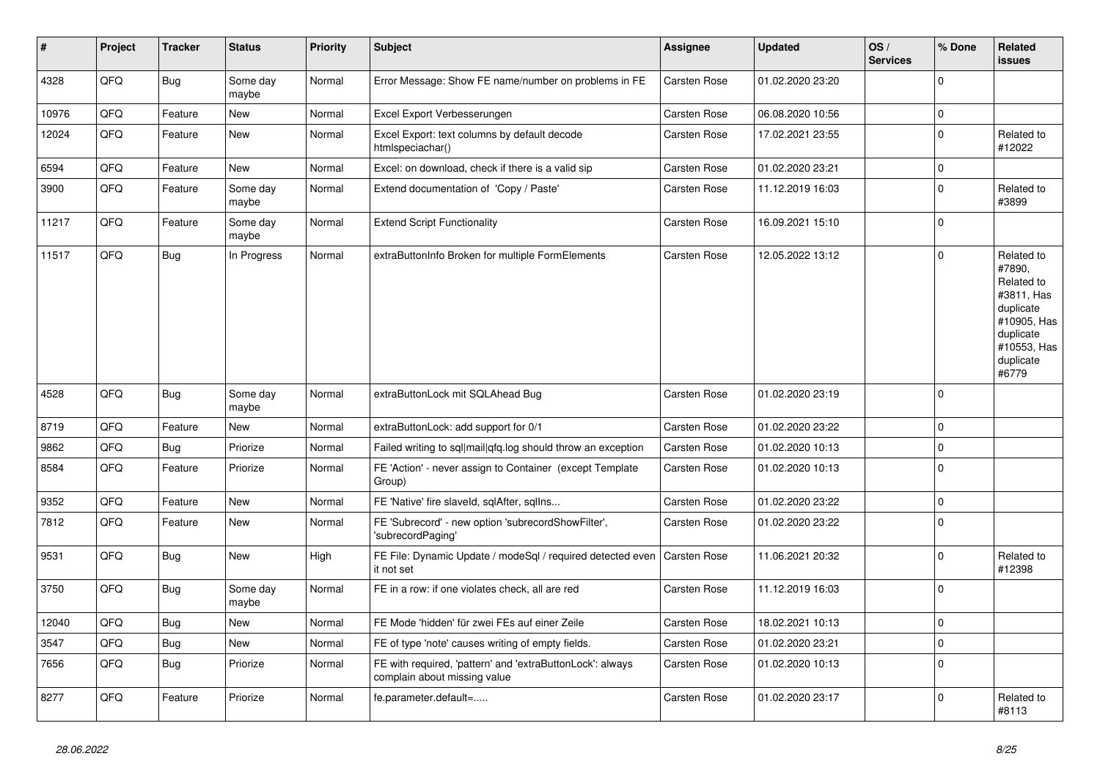| #     | Project | <b>Tracker</b> | <b>Status</b>     | <b>Priority</b> | <b>Subject</b>                                                                            | Assignee     | <b>Updated</b>   | OS/<br><b>Services</b> | % Done      | Related<br><b>issues</b>                                                                                                       |
|-------|---------|----------------|-------------------|-----------------|-------------------------------------------------------------------------------------------|--------------|------------------|------------------------|-------------|--------------------------------------------------------------------------------------------------------------------------------|
| 4328  | QFQ     | <b>Bug</b>     | Some day<br>maybe | Normal          | Error Message: Show FE name/number on problems in FE                                      | Carsten Rose | 01.02.2020 23:20 |                        | $\Omega$    |                                                                                                                                |
| 10976 | QFQ     | Feature        | <b>New</b>        | Normal          | Excel Export Verbesserungen                                                               | Carsten Rose | 06.08.2020 10:56 |                        | $\mathbf 0$ |                                                                                                                                |
| 12024 | QFQ     | Feature        | <b>New</b>        | Normal          | Excel Export: text columns by default decode<br>htmlspeciachar()                          | Carsten Rose | 17.02.2021 23:55 |                        | $\mathbf 0$ | Related to<br>#12022                                                                                                           |
| 6594  | QFQ     | Feature        | New               | Normal          | Excel: on download, check if there is a valid sip                                         | Carsten Rose | 01.02.2020 23:21 |                        | $\mathbf 0$ |                                                                                                                                |
| 3900  | QFQ     | Feature        | Some day<br>maybe | Normal          | Extend documentation of 'Copy / Paste'                                                    | Carsten Rose | 11.12.2019 16:03 |                        | $\mathbf 0$ | Related to<br>#3899                                                                                                            |
| 11217 | QFQ     | Feature        | Some day<br>maybe | Normal          | <b>Extend Script Functionality</b>                                                        | Carsten Rose | 16.09.2021 15:10 |                        | $\mathbf 0$ |                                                                                                                                |
| 11517 | QFQ     | <b>Bug</b>     | In Progress       | Normal          | extraButtonInfo Broken for multiple FormElements                                          | Carsten Rose | 12.05.2022 13:12 |                        | $\Omega$    | Related to<br>#7890.<br>Related to<br>#3811, Has<br>duplicate<br>#10905, Has<br>duplicate<br>#10553, Has<br>duplicate<br>#6779 |
| 4528  | QFQ     | <b>Bug</b>     | Some day<br>maybe | Normal          | extraButtonLock mit SQLAhead Bug                                                          | Carsten Rose | 01.02.2020 23:19 |                        | $\mathbf 0$ |                                                                                                                                |
| 8719  | QFQ     | Feature        | <b>New</b>        | Normal          | extraButtonLock: add support for 0/1                                                      | Carsten Rose | 01.02.2020 23:22 |                        | $\pmb{0}$   |                                                                                                                                |
| 9862  | QFQ     | <b>Bug</b>     | Priorize          | Normal          | Failed writing to sql mail qfq.log should throw an exception                              | Carsten Rose | 01.02.2020 10:13 |                        | $\mathbf 0$ |                                                                                                                                |
| 8584  | QFQ     | Feature        | Priorize          | Normal          | FE 'Action' - never assign to Container (except Template<br>Group)                        | Carsten Rose | 01.02.2020 10:13 |                        | $\Omega$    |                                                                                                                                |
| 9352  | QFQ     | Feature        | <b>New</b>        | Normal          | FE 'Native' fire slaveld, sqlAfter, sqlIns                                                | Carsten Rose | 01.02.2020 23:22 |                        | $\mathbf 0$ |                                                                                                                                |
| 7812  | QFQ     | Feature        | <b>New</b>        | Normal          | FE 'Subrecord' - new option 'subrecordShowFilter',<br>'subrecordPaging'                   | Carsten Rose | 01.02.2020 23:22 |                        | $\mathbf 0$ |                                                                                                                                |
| 9531  | QFQ     | <b>Bug</b>     | <b>New</b>        | High            | FE File: Dynamic Update / modeSgl / required detected even<br>it not set                  | Carsten Rose | 11.06.2021 20:32 |                        | $\Omega$    | Related to<br>#12398                                                                                                           |
| 3750  | QFQ     | Bug            | Some day<br>maybe | Normal          | FE in a row: if one violates check, all are red                                           | Carsten Rose | 11.12.2019 16:03 |                        | $\mathbf 0$ |                                                                                                                                |
| 12040 | QFQ     | Bug            | New               | Normal          | FE Mode 'hidden' für zwei FEs auf einer Zeile                                             | Carsten Rose | 18.02.2021 10:13 |                        | $\pmb{0}$   |                                                                                                                                |
| 3547  | QFQ     | <b>Bug</b>     | New               | Normal          | FE of type 'note' causes writing of empty fields.                                         | Carsten Rose | 01.02.2020 23:21 |                        | $\mathbf 0$ |                                                                                                                                |
| 7656  | QFQ     | <b>Bug</b>     | Priorize          | Normal          | FE with required, 'pattern' and 'extraButtonLock': always<br>complain about missing value | Carsten Rose | 01.02.2020 10:13 |                        | l 0         |                                                                                                                                |
| 8277  | QFQ     | Feature        | Priorize          | Normal          | fe.parameter.default=                                                                     | Carsten Rose | 01.02.2020 23:17 |                        | $\mathbf 0$ | Related to<br>#8113                                                                                                            |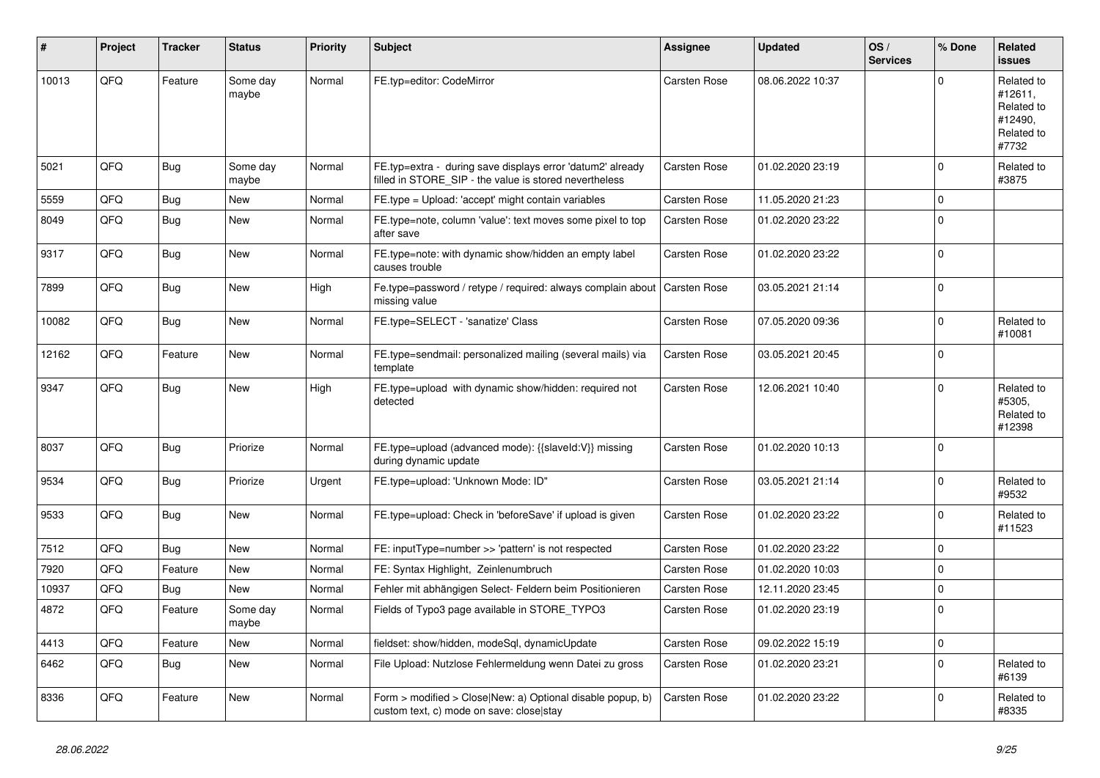| #     | Project | <b>Tracker</b> | <b>Status</b>     | <b>Priority</b> | Subject                                                                                                              | <b>Assignee</b>     | <b>Updated</b>   | OS/<br><b>Services</b> | % Done      | Related<br><b>issues</b>                                              |
|-------|---------|----------------|-------------------|-----------------|----------------------------------------------------------------------------------------------------------------------|---------------------|------------------|------------------------|-------------|-----------------------------------------------------------------------|
| 10013 | QFQ     | Feature        | Some day<br>maybe | Normal          | FE.typ=editor: CodeMirror                                                                                            | <b>Carsten Rose</b> | 08.06.2022 10:37 |                        | 0           | Related to<br>#12611,<br>Related to<br>#12490,<br>Related to<br>#7732 |
| 5021  | QFQ     | <b>Bug</b>     | Some day<br>maybe | Normal          | FE.typ=extra - during save displays error 'datum2' already<br>filled in STORE_SIP - the value is stored nevertheless | Carsten Rose        | 01.02.2020 23:19 |                        | $\Omega$    | Related to<br>#3875                                                   |
| 5559  | QFQ     | Bug            | <b>New</b>        | Normal          | FE.type = Upload: 'accept' might contain variables                                                                   | Carsten Rose        | 11.05.2020 21:23 |                        | $\mathbf 0$ |                                                                       |
| 8049  | QFQ     | <b>Bug</b>     | New               | Normal          | FE.type=note, column 'value': text moves some pixel to top<br>after save                                             | <b>Carsten Rose</b> | 01.02.2020 23:22 |                        | $\mathbf 0$ |                                                                       |
| 9317  | QFQ     | Bug            | <b>New</b>        | Normal          | FE.type=note: with dynamic show/hidden an empty label<br>causes trouble                                              | Carsten Rose        | 01.02.2020 23:22 |                        | 0           |                                                                       |
| 7899  | QFQ     | <b>Bug</b>     | New               | High            | Fe.type=password / retype / required: always complain about   Carsten Rose<br>missing value                          |                     | 03.05.2021 21:14 |                        | $\Omega$    |                                                                       |
| 10082 | QFQ     | Bug            | New               | Normal          | FE.type=SELECT - 'sanatize' Class                                                                                    | Carsten Rose        | 07.05.2020 09:36 |                        | $\Omega$    | Related to<br>#10081                                                  |
| 12162 | QFQ     | Feature        | <b>New</b>        | Normal          | FE.type=sendmail: personalized mailing (several mails) via<br>template                                               | Carsten Rose        | 03.05.2021 20:45 |                        | $\mathbf 0$ |                                                                       |
| 9347  | QFQ     | Bug            | <b>New</b>        | High            | FE.type=upload with dynamic show/hidden: required not<br>detected                                                    | Carsten Rose        | 12.06.2021 10:40 |                        | $\Omega$    | Related to<br>#5305,<br>Related to<br>#12398                          |
| 8037  | QFQ     | Bug            | Priorize          | Normal          | FE.type=upload (advanced mode): {{slaveld:V}} missing<br>during dynamic update                                       | Carsten Rose        | 01.02.2020 10:13 |                        | $\Omega$    |                                                                       |
| 9534  | QFQ     | Bug            | Priorize          | Urgent          | FE.type=upload: 'Unknown Mode: ID"                                                                                   | Carsten Rose        | 03.05.2021 21:14 |                        | $\Omega$    | Related to<br>#9532                                                   |
| 9533  | QFQ     | Bug            | <b>New</b>        | Normal          | FE.type=upload: Check in 'beforeSave' if upload is given                                                             | Carsten Rose        | 01.02.2020 23:22 |                        | $\Omega$    | Related to<br>#11523                                                  |
| 7512  | QFQ     | Bug            | New               | Normal          | FE: inputType=number >> 'pattern' is not respected                                                                   | Carsten Rose        | 01.02.2020 23:22 |                        | $\Omega$    |                                                                       |
| 7920  | QFQ     | Feature        | <b>New</b>        | Normal          | FE: Syntax Highlight, Zeinlenumbruch                                                                                 | Carsten Rose        | 01.02.2020 10:03 |                        | $\Omega$    |                                                                       |
| 10937 | QFQ     | Bug            | <b>New</b>        | Normal          | Fehler mit abhängigen Select- Feldern beim Positionieren                                                             | Carsten Rose        | 12.11.2020 23:45 |                        | 0           |                                                                       |
| 4872  | QFQ     | Feature        | Some day<br>maybe | Normal          | Fields of Typo3 page available in STORE_TYPO3                                                                        | Carsten Rose        | 01.02.2020 23:19 |                        | $\Omega$    |                                                                       |
| 4413  | QFQ     | Feature        | New               | Normal          | fieldset: show/hidden, modeSql, dynamicUpdate                                                                        | Carsten Rose        | 09.02.2022 15:19 |                        | 0           |                                                                       |
| 6462  | QFQ     | <b>Bug</b>     | New               | Normal          | File Upload: Nutzlose Fehlermeldung wenn Datei zu gross                                                              | Carsten Rose        | 01.02.2020 23:21 |                        | $\mathbf 0$ | Related to<br>#6139                                                   |
| 8336  | QFQ     | Feature        | New               | Normal          | Form > modified > Close New: a) Optional disable popup, b)<br>custom text, c) mode on save: close stay               | Carsten Rose        | 01.02.2020 23:22 |                        | $\mathbf 0$ | Related to<br>#8335                                                   |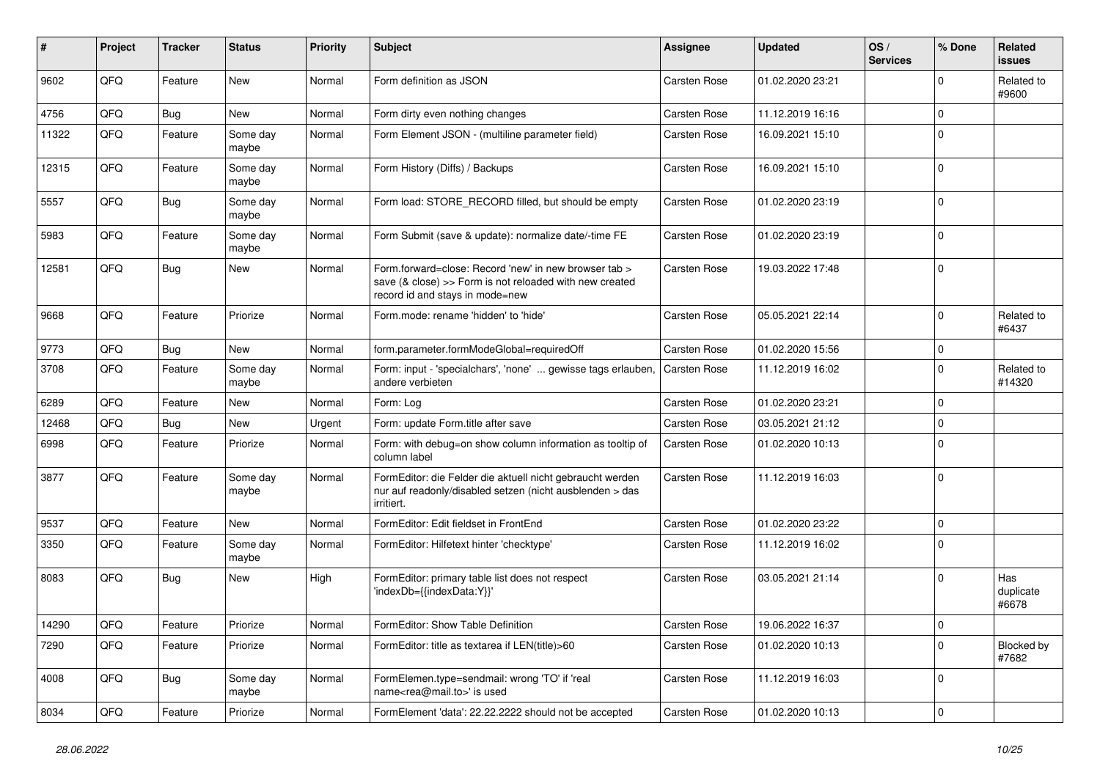| #     | Project | <b>Tracker</b> | <b>Status</b>     | <b>Priority</b> | Subject                                                                                                                                             | <b>Assignee</b>     | <b>Updated</b>   | OS/<br><b>Services</b> | % Done      | Related<br>issues         |
|-------|---------|----------------|-------------------|-----------------|-----------------------------------------------------------------------------------------------------------------------------------------------------|---------------------|------------------|------------------------|-------------|---------------------------|
| 9602  | QFQ     | Feature        | <b>New</b>        | Normal          | Form definition as JSON                                                                                                                             | <b>Carsten Rose</b> | 01.02.2020 23:21 |                        | $\Omega$    | Related to<br>#9600       |
| 4756  | QFQ     | <b>Bug</b>     | New               | Normal          | Form dirty even nothing changes                                                                                                                     | Carsten Rose        | 11.12.2019 16:16 |                        | $\Omega$    |                           |
| 11322 | QFQ     | Feature        | Some day<br>maybe | Normal          | Form Element JSON - (multiline parameter field)                                                                                                     | Carsten Rose        | 16.09.2021 15:10 |                        | $\Omega$    |                           |
| 12315 | QFQ     | Feature        | Some day<br>maybe | Normal          | Form History (Diffs) / Backups                                                                                                                      | <b>Carsten Rose</b> | 16.09.2021 15:10 |                        | $\Omega$    |                           |
| 5557  | QFQ     | Bug            | Some day<br>maybe | Normal          | Form load: STORE_RECORD filled, but should be empty                                                                                                 | <b>Carsten Rose</b> | 01.02.2020 23:19 |                        | $\Omega$    |                           |
| 5983  | QFQ     | Feature        | Some day<br>maybe | Normal          | Form Submit (save & update): normalize date/-time FE                                                                                                | <b>Carsten Rose</b> | 01.02.2020 23:19 |                        | $\Omega$    |                           |
| 12581 | QFQ     | <b>Bug</b>     | New               | Normal          | Form.forward=close: Record 'new' in new browser tab ><br>save (& close) >> Form is not reloaded with new created<br>record id and stays in mode=new | <b>Carsten Rose</b> | 19.03.2022 17:48 |                        | $\Omega$    |                           |
| 9668  | QFQ     | Feature        | Priorize          | Normal          | Form.mode: rename 'hidden' to 'hide'                                                                                                                | <b>Carsten Rose</b> | 05.05.2021 22:14 |                        | $\Omega$    | Related to<br>#6437       |
| 9773  | QFQ     | <b>Bug</b>     | <b>New</b>        | Normal          | form.parameter.formModeGlobal=requiredOff                                                                                                           | <b>Carsten Rose</b> | 01.02.2020 15:56 |                        | $\mathbf 0$ |                           |
| 3708  | QFQ     | Feature        | Some day<br>maybe | Normal          | Form: input - 'specialchars', 'none'  gewisse tags erlauben,<br>andere verbieten                                                                    | <b>Carsten Rose</b> | 11.12.2019 16:02 |                        | $\Omega$    | Related to<br>#14320      |
| 6289  | QFQ     | Feature        | New               | Normal          | Form: Log                                                                                                                                           | <b>Carsten Rose</b> | 01.02.2020 23:21 |                        | $\Omega$    |                           |
| 12468 | QFQ     | Bug            | New               | Urgent          | Form: update Form.title after save                                                                                                                  | <b>Carsten Rose</b> | 03.05.2021 21:12 |                        | $\Omega$    |                           |
| 6998  | QFQ     | Feature        | Priorize          | Normal          | Form: with debug=on show column information as tooltip of<br>column label                                                                           | <b>Carsten Rose</b> | 01.02.2020 10:13 |                        | $\Omega$    |                           |
| 3877  | QFQ     | Feature        | Some day<br>maybe | Normal          | FormEditor: die Felder die aktuell nicht gebraucht werden<br>nur auf readonly/disabled setzen (nicht ausblenden > das<br>irritiert.                 | <b>Carsten Rose</b> | 11.12.2019 16:03 |                        | $\Omega$    |                           |
| 9537  | QFQ     | Feature        | New               | Normal          | FormEditor: Edit fieldset in FrontEnd                                                                                                               | <b>Carsten Rose</b> | 01.02.2020 23:22 |                        | $\Omega$    |                           |
| 3350  | QFQ     | Feature        | Some day<br>maybe | Normal          | FormEditor: Hilfetext hinter 'checktype'                                                                                                            | <b>Carsten Rose</b> | 11.12.2019 16:02 |                        | $\Omega$    |                           |
| 8083  | QFQ     | <b>Bug</b>     | New               | High            | FormEditor: primary table list does not respect<br>'indexDb={{indexData:Y}}'                                                                        | <b>Carsten Rose</b> | 03.05.2021 21:14 |                        | $\Omega$    | Has<br>duplicate<br>#6678 |
| 14290 | QFG     | Feature        | Priorize          | Normal          | FormEditor: Show Table Definition                                                                                                                   | Carsten Rose        | 19.06.2022 16:37 |                        | 0           |                           |
| 7290  | QFQ     | Feature        | Priorize          | Normal          | FormEditor: title as textarea if LEN(title)>60                                                                                                      | Carsten Rose        | 01.02.2020 10:13 |                        | $\Omega$    | Blocked by<br>#7682       |
| 4008  | QFQ     | <b>Bug</b>     | Some day<br>maybe | Normal          | FormElemen.type=sendmail: wrong 'TO' if 'real<br>name <rea@mail.to>' is used</rea@mail.to>                                                          | Carsten Rose        | 11.12.2019 16:03 |                        | 0           |                           |
| 8034  | QFG     | Feature        | Priorize          | Normal          | FormElement 'data': 22.22.2222 should not be accepted                                                                                               | Carsten Rose        | 01.02.2020 10:13 |                        | 0           |                           |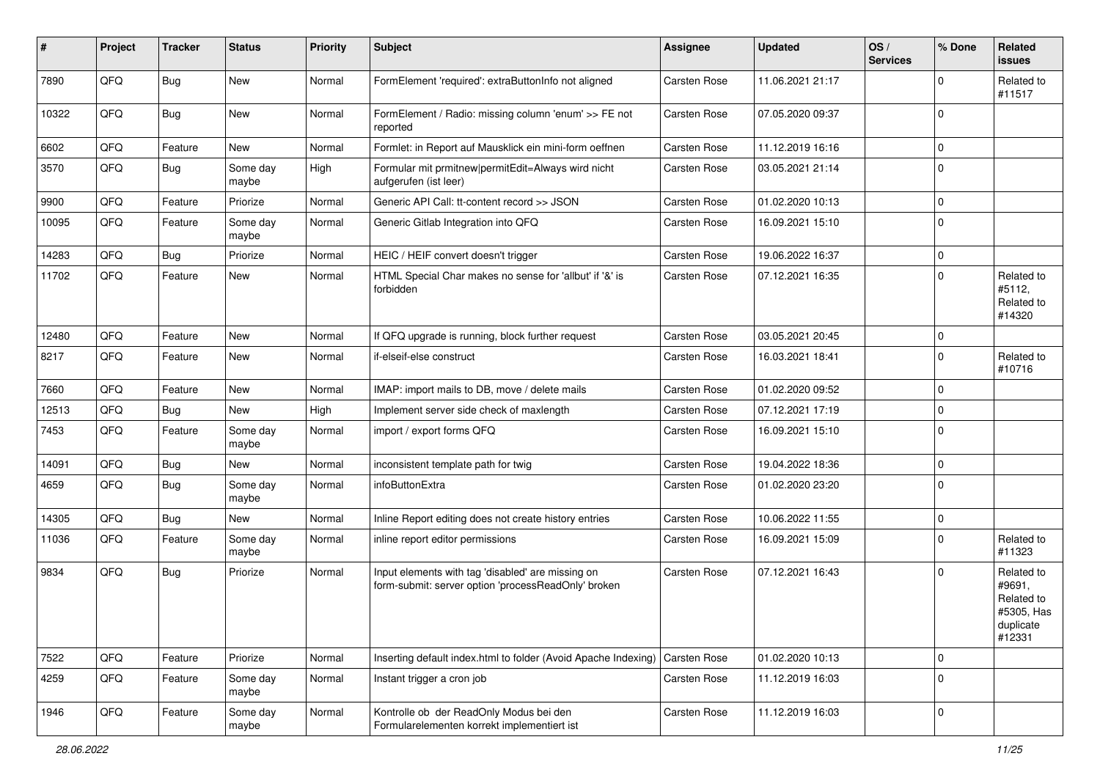| #     | Project | <b>Tracker</b> | <b>Status</b>     | <b>Priority</b> | Subject                                                                                                  | Assignee            | <b>Updated</b>   | OS/<br><b>Services</b> | % Done              | Related<br>issues                                                       |
|-------|---------|----------------|-------------------|-----------------|----------------------------------------------------------------------------------------------------------|---------------------|------------------|------------------------|---------------------|-------------------------------------------------------------------------|
| 7890  | QFQ     | <b>Bug</b>     | New               | Normal          | FormElement 'required': extraButtonInfo not aligned                                                      | Carsten Rose        | 11.06.2021 21:17 |                        | $\mathbf 0$         | Related to<br>#11517                                                    |
| 10322 | QFQ     | <b>Bug</b>     | New               | Normal          | FormElement / Radio: missing column 'enum' >> FE not<br>reported                                         | Carsten Rose        | 07.05.2020 09:37 |                        | $\mathbf 0$         |                                                                         |
| 6602  | QFQ     | Feature        | New               | Normal          | Formlet: in Report auf Mausklick ein mini-form oeffnen                                                   | Carsten Rose        | 11.12.2019 16:16 |                        | 0                   |                                                                         |
| 3570  | QFQ     | Bug            | Some day<br>maybe | High            | Formular mit prmitnew permitEdit=Always wird nicht<br>aufgerufen (ist leer)                              | Carsten Rose        | 03.05.2021 21:14 |                        | $\mathbf 0$         |                                                                         |
| 9900  | QFQ     | Feature        | Priorize          | Normal          | Generic API Call: tt-content record >> JSON                                                              | Carsten Rose        | 01.02.2020 10:13 |                        | 0                   |                                                                         |
| 10095 | QFQ     | Feature        | Some day<br>maybe | Normal          | Generic Gitlab Integration into QFQ                                                                      | Carsten Rose        | 16.09.2021 15:10 |                        | $\mathbf 0$         |                                                                         |
| 14283 | QFQ     | Bug            | Priorize          | Normal          | HEIC / HEIF convert doesn't trigger                                                                      | Carsten Rose        | 19.06.2022 16:37 |                        | 0                   |                                                                         |
| 11702 | QFQ     | Feature        | New               | Normal          | HTML Special Char makes no sense for 'allbut' if '&' is<br>forbidden                                     | Carsten Rose        | 07.12.2021 16:35 |                        | 0                   | Related to<br>#5112,<br>Related to<br>#14320                            |
| 12480 | QFQ     | Feature        | New               | Normal          | If QFQ upgrade is running, block further request                                                         | Carsten Rose        | 03.05.2021 20:45 |                        | 0                   |                                                                         |
| 8217  | QFQ     | Feature        | New               | Normal          | if-elseif-else construct                                                                                 | <b>Carsten Rose</b> | 16.03.2021 18:41 |                        | $\mathbf 0$         | Related to<br>#10716                                                    |
| 7660  | QFQ     | Feature        | New               | Normal          | IMAP: import mails to DB, move / delete mails                                                            | Carsten Rose        | 01.02.2020 09:52 |                        | $\mathbf 0$         |                                                                         |
| 12513 | QFQ     | <b>Bug</b>     | New               | High            | Implement server side check of maxlength                                                                 | Carsten Rose        | 07.12.2021 17:19 |                        | 0                   |                                                                         |
| 7453  | QFQ     | Feature        | Some day<br>maybe | Normal          | import / export forms QFQ                                                                                | <b>Carsten Rose</b> | 16.09.2021 15:10 |                        | $\mathbf 0$         |                                                                         |
| 14091 | QFQ     | <b>Bug</b>     | New               | Normal          | inconsistent template path for twig                                                                      | Carsten Rose        | 19.04.2022 18:36 |                        | 0                   |                                                                         |
| 4659  | QFQ     | <b>Bug</b>     | Some day<br>maybe | Normal          | infoButtonExtra                                                                                          | Carsten Rose        | 01.02.2020 23:20 |                        | $\mathbf 0$         |                                                                         |
| 14305 | QFQ     | Bug            | New               | Normal          | Inline Report editing does not create history entries                                                    | Carsten Rose        | 10.06.2022 11:55 |                        | 0                   |                                                                         |
| 11036 | QFQ     | Feature        | Some day<br>maybe | Normal          | inline report editor permissions                                                                         | Carsten Rose        | 16.09.2021 15:09 |                        | 0                   | Related to<br>#11323                                                    |
| 9834  | QFQ     | <b>Bug</b>     | Priorize          | Normal          | Input elements with tag 'disabled' are missing on<br>form-submit: server option 'processReadOnly' broken | Carsten Rose        | 07.12.2021 16:43 |                        | 0                   | Related to<br>#9691,<br>Related to<br>#5305, Has<br>duplicate<br>#12331 |
| 7522  | QFQ     | Feature        | Priorize          | Normal          | Inserting default index.html to folder (Avoid Apache Indexing)                                           | Carsten Rose        | 01.02.2020 10:13 |                        | $\mathbf 0$         |                                                                         |
| 4259  | QFQ     | Feature        | Some day<br>maybe | Normal          | Instant trigger a cron job                                                                               | Carsten Rose        | 11.12.2019 16:03 |                        | 0                   |                                                                         |
| 1946  | QFQ     | Feature        | Some day<br>maybe | Normal          | Kontrolle ob der ReadOnly Modus bei den<br>Formularelementen korrekt implementiert ist                   | Carsten Rose        | 11.12.2019 16:03 |                        | $\mathsf{O}\xspace$ |                                                                         |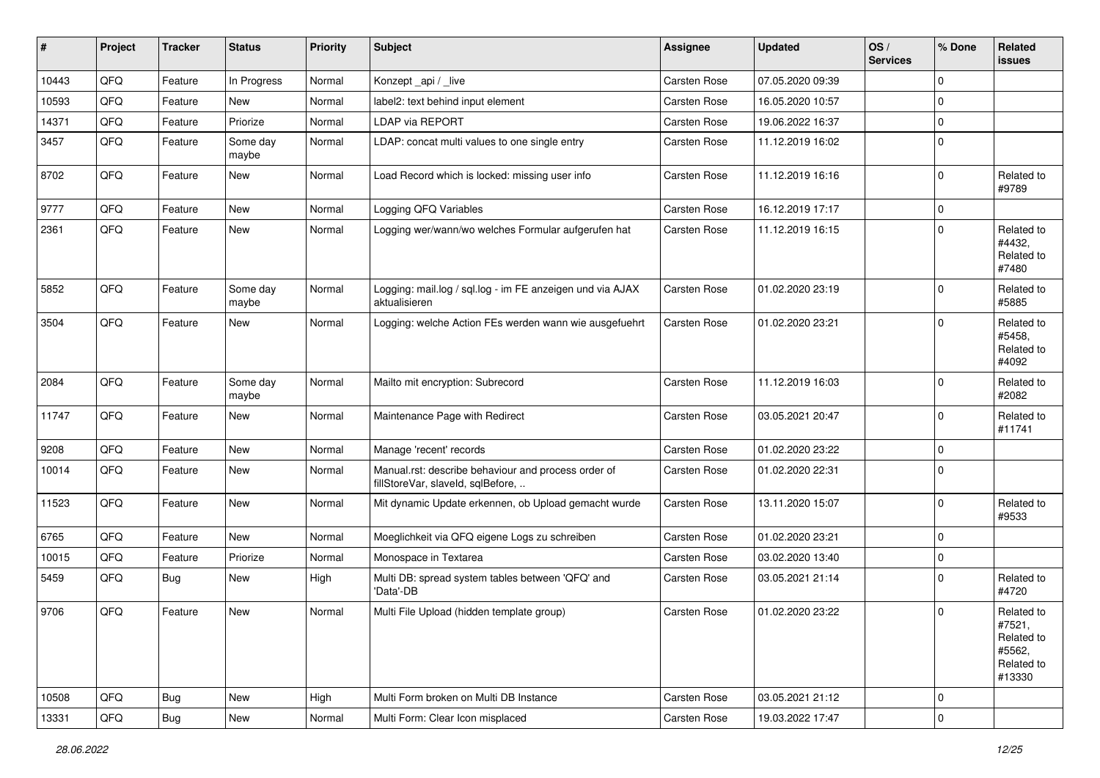| #     | Project | <b>Tracker</b> | <b>Status</b>     | <b>Priority</b> | <b>Subject</b>                                                                           | Assignee     | <b>Updated</b>   | OS/<br><b>Services</b> | % Done      | Related<br>issues                                                    |
|-------|---------|----------------|-------------------|-----------------|------------------------------------------------------------------------------------------|--------------|------------------|------------------------|-------------|----------------------------------------------------------------------|
| 10443 | QFQ     | Feature        | In Progress       | Normal          | Konzept_api / _live                                                                      | Carsten Rose | 07.05.2020 09:39 |                        | $\mathbf 0$ |                                                                      |
| 10593 | QFQ     | Feature        | New               | Normal          | label2: text behind input element                                                        | Carsten Rose | 16.05.2020 10:57 |                        | $\mathbf 0$ |                                                                      |
| 14371 | QFQ     | Feature        | Priorize          | Normal          | <b>LDAP via REPORT</b>                                                                   | Carsten Rose | 19.06.2022 16:37 |                        | $\mathbf 0$ |                                                                      |
| 3457  | QFQ     | Feature        | Some day<br>maybe | Normal          | LDAP: concat multi values to one single entry                                            | Carsten Rose | 11.12.2019 16:02 |                        | $\mathbf 0$ |                                                                      |
| 8702  | QFQ     | Feature        | <b>New</b>        | Normal          | Load Record which is locked: missing user info                                           | Carsten Rose | 11.12.2019 16:16 |                        | $\mathbf 0$ | Related to<br>#9789                                                  |
| 9777  | QFQ     | Feature        | New               | Normal          | Logging QFQ Variables                                                                    | Carsten Rose | 16.12.2019 17:17 |                        | $\mathbf 0$ |                                                                      |
| 2361  | QFQ     | Feature        | New               | Normal          | Logging wer/wann/wo welches Formular aufgerufen hat                                      | Carsten Rose | 11.12.2019 16:15 |                        | $\mathbf 0$ | Related to<br>#4432,<br>Related to<br>#7480                          |
| 5852  | QFQ     | Feature        | Some day<br>maybe | Normal          | Logging: mail.log / sql.log - im FE anzeigen und via AJAX<br>aktualisieren               | Carsten Rose | 01.02.2020 23:19 |                        | 0           | Related to<br>#5885                                                  |
| 3504  | QFQ     | Feature        | New               | Normal          | Logging: welche Action FEs werden wann wie ausgefuehrt                                   | Carsten Rose | 01.02.2020 23:21 |                        | $\mathbf 0$ | Related to<br>#5458,<br>Related to<br>#4092                          |
| 2084  | QFQ     | Feature        | Some day<br>maybe | Normal          | Mailto mit encryption: Subrecord                                                         | Carsten Rose | 11.12.2019 16:03 |                        | $\mathbf 0$ | Related to<br>#2082                                                  |
| 11747 | QFQ     | Feature        | New               | Normal          | Maintenance Page with Redirect                                                           | Carsten Rose | 03.05.2021 20:47 |                        | $\mathbf 0$ | Related to<br>#11741                                                 |
| 9208  | QFQ     | Feature        | <b>New</b>        | Normal          | Manage 'recent' records                                                                  | Carsten Rose | 01.02.2020 23:22 |                        | $\mathbf 0$ |                                                                      |
| 10014 | QFQ     | Feature        | New               | Normal          | Manual.rst: describe behaviour and process order of<br>fillStoreVar, slaveId, sqlBefore, | Carsten Rose | 01.02.2020 22:31 |                        | $\mathbf 0$ |                                                                      |
| 11523 | QFQ     | Feature        | New               | Normal          | Mit dynamic Update erkennen, ob Upload gemacht wurde                                     | Carsten Rose | 13.11.2020 15:07 |                        | $\mathbf 0$ | Related to<br>#9533                                                  |
| 6765  | QFQ     | Feature        | New               | Normal          | Moeglichkeit via QFQ eigene Logs zu schreiben                                            | Carsten Rose | 01.02.2020 23:21 |                        | $\mathbf 0$ |                                                                      |
| 10015 | QFQ     | Feature        | Priorize          | Normal          | Monospace in Textarea                                                                    | Carsten Rose | 03.02.2020 13:40 |                        | $\mathbf 0$ |                                                                      |
| 5459  | QFQ     | <b>Bug</b>     | New               | High            | Multi DB: spread system tables between 'QFQ' and<br>'Data'-DB                            | Carsten Rose | 03.05.2021 21:14 |                        | $\mathbf 0$ | Related to<br>#4720                                                  |
| 9706  | QFQ     | Feature        | New               | Normal          | Multi File Upload (hidden template group)                                                | Carsten Rose | 01.02.2020 23:22 |                        | $\mathbf 0$ | Related to<br>#7521,<br>Related to<br>#5562,<br>Related to<br>#13330 |
| 10508 | QFQ     | <b>Bug</b>     | New               | High            | Multi Form broken on Multi DB Instance                                                   | Carsten Rose | 03.05.2021 21:12 |                        | $\mathbf 0$ |                                                                      |
| 13331 | QFG     | Bug            | New               | Normal          | Multi Form: Clear Icon misplaced                                                         | Carsten Rose | 19.03.2022 17:47 |                        | $\mathsf 0$ |                                                                      |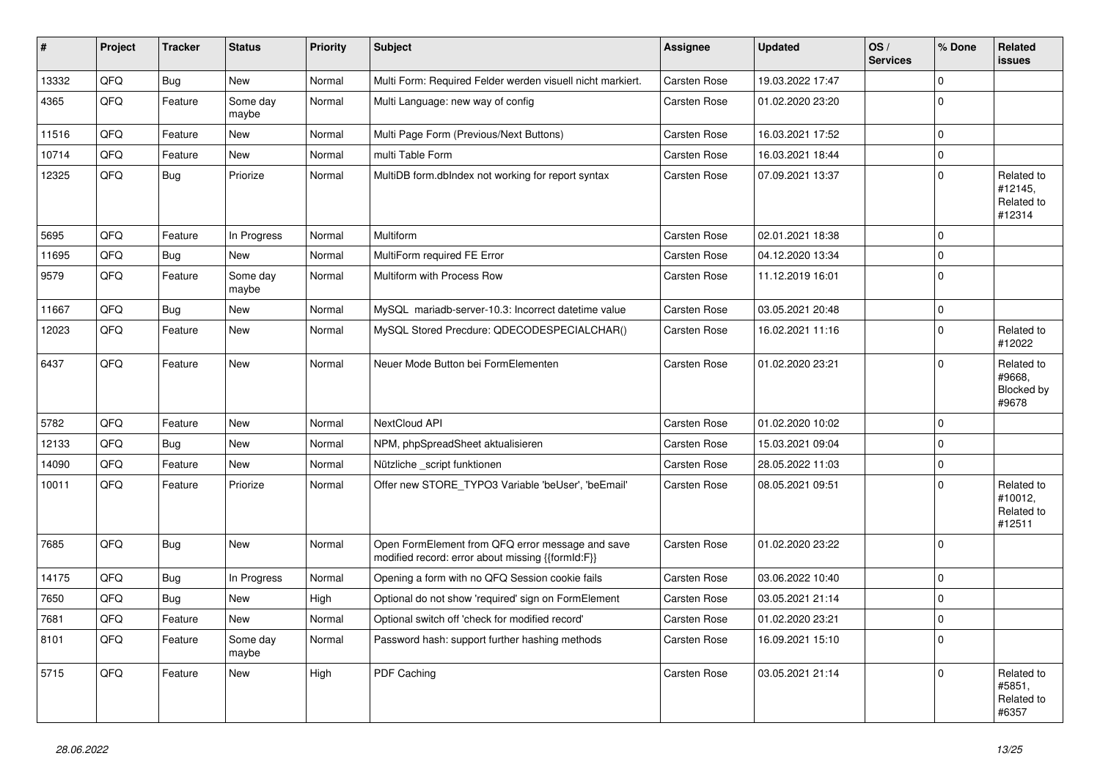| #     | Project | <b>Tracker</b> | <b>Status</b>     | <b>Priority</b> | <b>Subject</b>                                                                                        | Assignee            | <b>Updated</b>   | OS/<br><b>Services</b> | % Done      | Related<br>issues                                  |
|-------|---------|----------------|-------------------|-----------------|-------------------------------------------------------------------------------------------------------|---------------------|------------------|------------------------|-------------|----------------------------------------------------|
| 13332 | QFQ     | Bug            | New               | Normal          | Multi Form: Required Felder werden visuell nicht markiert.                                            | Carsten Rose        | 19.03.2022 17:47 |                        | $\Omega$    |                                                    |
| 4365  | QFQ     | Feature        | Some day<br>maybe | Normal          | Multi Language: new way of config                                                                     | Carsten Rose        | 01.02.2020 23:20 |                        | 0           |                                                    |
| 11516 | QFQ     | Feature        | New               | Normal          | Multi Page Form (Previous/Next Buttons)                                                               | Carsten Rose        | 16.03.2021 17:52 |                        | $\mathbf 0$ |                                                    |
| 10714 | QFQ     | Feature        | New               | Normal          | multi Table Form                                                                                      | Carsten Rose        | 16.03.2021 18:44 |                        | 0           |                                                    |
| 12325 | QFQ     | Bug            | Priorize          | Normal          | MultiDB form.dblndex not working for report syntax                                                    | Carsten Rose        | 07.09.2021 13:37 |                        | $\Omega$    | Related to<br>#12145,<br>Related to<br>#12314      |
| 5695  | QFQ     | Feature        | In Progress       | Normal          | Multiform                                                                                             | Carsten Rose        | 02.01.2021 18:38 |                        | $\mathbf 0$ |                                                    |
| 11695 | QFQ     | <b>Bug</b>     | New               | Normal          | MultiForm required FE Error                                                                           | <b>Carsten Rose</b> | 04.12.2020 13:34 |                        | $\mathbf 0$ |                                                    |
| 9579  | QFQ     | Feature        | Some day<br>maybe | Normal          | Multiform with Process Row                                                                            | Carsten Rose        | 11.12.2019 16:01 |                        | $\Omega$    |                                                    |
| 11667 | QFQ     | Bug            | <b>New</b>        | Normal          | MySQL mariadb-server-10.3: Incorrect datetime value                                                   | Carsten Rose        | 03.05.2021 20:48 |                        | $\mathbf 0$ |                                                    |
| 12023 | QFQ     | Feature        | New               | Normal          | MySQL Stored Precdure: QDECODESPECIALCHAR()                                                           | Carsten Rose        | 16.02.2021 11:16 |                        | $\Omega$    | Related to<br>#12022                               |
| 6437  | QFQ     | Feature        | New               | Normal          | Neuer Mode Button bei FormElementen                                                                   | Carsten Rose        | 01.02.2020 23:21 |                        | $\Omega$    | Related to<br>#9668,<br><b>Blocked by</b><br>#9678 |
| 5782  | QFQ     | Feature        | New               | Normal          | NextCloud API                                                                                         | Carsten Rose        | 01.02.2020 10:02 |                        | $\Omega$    |                                                    |
| 12133 | QFQ     | Bug            | New               | Normal          | NPM, phpSpreadSheet aktualisieren                                                                     | Carsten Rose        | 15.03.2021 09:04 |                        | 0           |                                                    |
| 14090 | QFQ     | Feature        | <b>New</b>        | Normal          | Nützliche _script funktionen                                                                          | Carsten Rose        | 28.05.2022 11:03 |                        | 0           |                                                    |
| 10011 | QFQ     | Feature        | Priorize          | Normal          | Offer new STORE_TYPO3 Variable 'beUser', 'beEmail'                                                    | Carsten Rose        | 08.05.2021 09:51 |                        | $\Omega$    | Related to<br>#10012,<br>Related to<br>#12511      |
| 7685  | QFQ     | Bug            | <b>New</b>        | Normal          | Open FormElement from QFQ error message and save<br>modified record: error about missing {{formId:F}} | Carsten Rose        | 01.02.2020 23:22 |                        | $\Omega$    |                                                    |
| 14175 | QFQ     | Bug            | In Progress       | Normal          | Opening a form with no QFQ Session cookie fails                                                       | Carsten Rose        | 03.06.2022 10:40 |                        | 0           |                                                    |
| 7650  | QFQ     | <b>Bug</b>     | New               | High            | Optional do not show 'required' sign on FormElement                                                   | Carsten Rose        | 03.05.2021 21:14 |                        | $\Omega$    |                                                    |
| 7681  | QFQ     | Feature        | New               | Normal          | Optional switch off 'check for modified record'                                                       | Carsten Rose        | 01.02.2020 23:21 |                        | l O         |                                                    |
| 8101  | QFQ     | Feature        | Some day<br>maybe | Normal          | Password hash: support further hashing methods                                                        | Carsten Rose        | 16.09.2021 15:10 |                        | 0           |                                                    |
| 5715  | QFQ     | Feature        | New               | High            | PDF Caching                                                                                           | Carsten Rose        | 03.05.2021 21:14 |                        | 0           | Related to<br>#5851,<br>Related to<br>#6357        |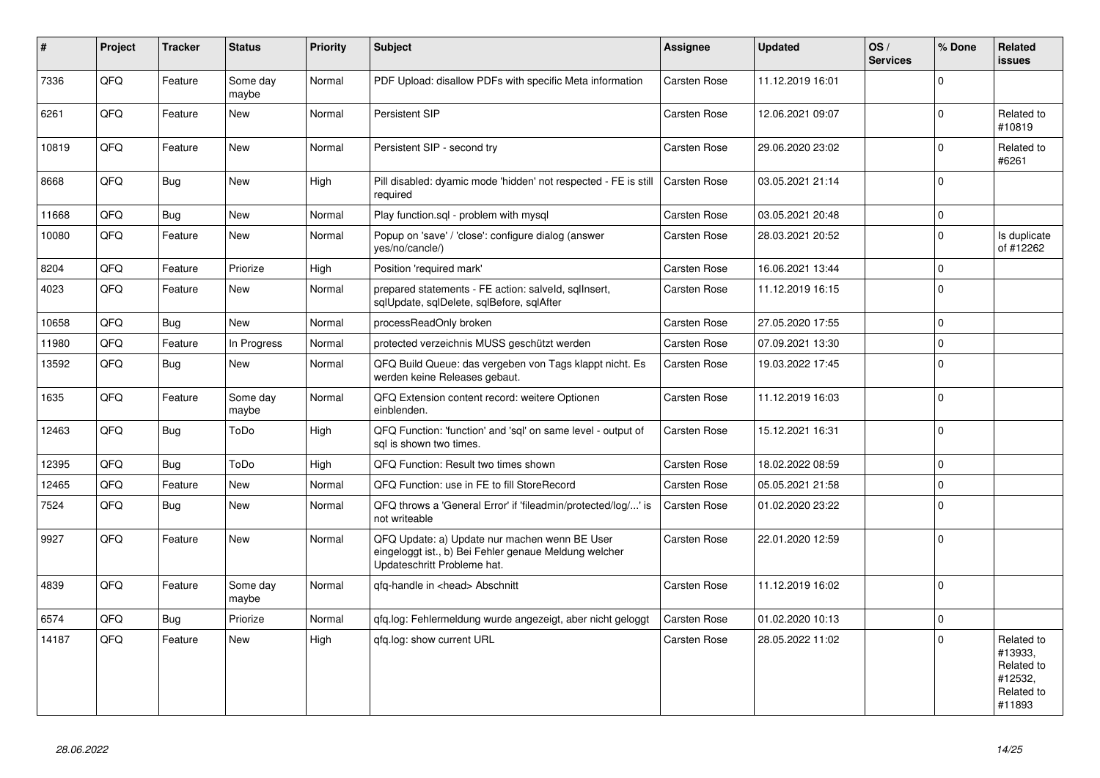| #     | Project | <b>Tracker</b> | <b>Status</b>     | <b>Priority</b> | <b>Subject</b>                                                                                                                        | <b>Assignee</b>     | <b>Updated</b>   | OS/<br><b>Services</b> | % Done         | Related<br>issues                                                      |
|-------|---------|----------------|-------------------|-----------------|---------------------------------------------------------------------------------------------------------------------------------------|---------------------|------------------|------------------------|----------------|------------------------------------------------------------------------|
| 7336  | QFQ     | Feature        | Some day<br>maybe | Normal          | PDF Upload: disallow PDFs with specific Meta information                                                                              | <b>Carsten Rose</b> | 11.12.2019 16:01 |                        | $\mathbf 0$    |                                                                        |
| 6261  | QFQ     | Feature        | <b>New</b>        | Normal          | Persistent SIP                                                                                                                        | <b>Carsten Rose</b> | 12.06.2021 09:07 |                        | $\mathbf{0}$   | Related to<br>#10819                                                   |
| 10819 | QFQ     | Feature        | <b>New</b>        | Normal          | Persistent SIP - second try                                                                                                           | <b>Carsten Rose</b> | 29.06.2020 23:02 |                        | 0              | Related to<br>#6261                                                    |
| 8668  | QFQ     | Bug            | <b>New</b>        | High            | Pill disabled: dyamic mode 'hidden' not respected - FE is still<br>required                                                           | <b>Carsten Rose</b> | 03.05.2021 21:14 |                        | $\Omega$       |                                                                        |
| 11668 | QFQ     | Bug            | <b>New</b>        | Normal          | Play function.sql - problem with mysql                                                                                                | Carsten Rose        | 03.05.2021 20:48 |                        | $\overline{0}$ |                                                                        |
| 10080 | QFQ     | Feature        | New               | Normal          | Popup on 'save' / 'close': configure dialog (answer<br>yes/no/cancle/)                                                                | Carsten Rose        | 28.03.2021 20:52 |                        | $\mathbf 0$    | Is duplicate<br>of #12262                                              |
| 8204  | QFQ     | Feature        | Priorize          | High            | Position 'required mark'                                                                                                              | Carsten Rose        | 16.06.2021 13:44 |                        | 0              |                                                                        |
| 4023  | QFQ     | Feature        | <b>New</b>        | Normal          | prepared statements - FE action: salveld, sqllnsert,<br>sqlUpdate, sqlDelete, sqlBefore, sqlAfter                                     | Carsten Rose        | 11.12.2019 16:15 |                        | $\Omega$       |                                                                        |
| 10658 | QFQ     | Bug            | <b>New</b>        | Normal          | processReadOnly broken                                                                                                                | Carsten Rose        | 27.05.2020 17:55 |                        | $\Omega$       |                                                                        |
| 11980 | QFQ     | Feature        | In Progress       | Normal          | protected verzeichnis MUSS geschützt werden                                                                                           | <b>Carsten Rose</b> | 07.09.2021 13:30 |                        | $\Omega$       |                                                                        |
| 13592 | QFQ     | Bug            | <b>New</b>        | Normal          | QFQ Build Queue: das vergeben von Tags klappt nicht. Es<br>werden keine Releases gebaut.                                              | Carsten Rose        | 19.03.2022 17:45 |                        | $\Omega$       |                                                                        |
| 1635  | QFQ     | Feature        | Some day<br>maybe | Normal          | QFQ Extension content record: weitere Optionen<br>einblenden.                                                                         | Carsten Rose        | 11.12.2019 16:03 |                        | $\Omega$       |                                                                        |
| 12463 | QFQ     | <b>Bug</b>     | ToDo              | High            | QFQ Function: 'function' and 'sql' on same level - output of<br>sql is shown two times.                                               | <b>Carsten Rose</b> | 15.12.2021 16:31 |                        | $\Omega$       |                                                                        |
| 12395 | QFQ     | Bug            | ToDo              | High            | QFQ Function: Result two times shown                                                                                                  | <b>Carsten Rose</b> | 18.02.2022 08:59 |                        | $\mathbf 0$    |                                                                        |
| 12465 | QFQ     | Feature        | <b>New</b>        | Normal          | QFQ Function: use in FE to fill StoreRecord                                                                                           | Carsten Rose        | 05.05.2021 21:58 |                        | $\Omega$       |                                                                        |
| 7524  | QFQ     | <b>Bug</b>     | <b>New</b>        | Normal          | QFQ throws a 'General Error' if 'fileadmin/protected/log/' is<br>not writeable                                                        | <b>Carsten Rose</b> | 01.02.2020 23:22 |                        | $\Omega$       |                                                                        |
| 9927  | QFQ     | Feature        | <b>New</b>        | Normal          | QFQ Update: a) Update nur machen wenn BE User<br>eingeloggt ist., b) Bei Fehler genaue Meldung welcher<br>Updateschritt Probleme hat. | <b>Carsten Rose</b> | 22.01.2020 12:59 |                        | $\Omega$       |                                                                        |
| 4839  | QFQ     | Feature        | Some day<br>maybe | Normal          | qfq-handle in <head> Abschnitt</head>                                                                                                 | Carsten Rose        | 11.12.2019 16:02 |                        | 0              |                                                                        |
| 6574  | QFQ     | <b>Bug</b>     | Priorize          | Normal          | gfg.log: Fehlermeldung wurde angezeigt, aber nicht geloggt                                                                            | <b>Carsten Rose</b> | 01.02.2020 10:13 |                        | 0              |                                                                        |
| 14187 | QFQ     | Feature        | <b>New</b>        | High            | qfq.log: show current URL                                                                                                             | Carsten Rose        | 28.05.2022 11:02 |                        | $\Omega$       | Related to<br>#13933,<br>Related to<br>#12532,<br>Related to<br>#11893 |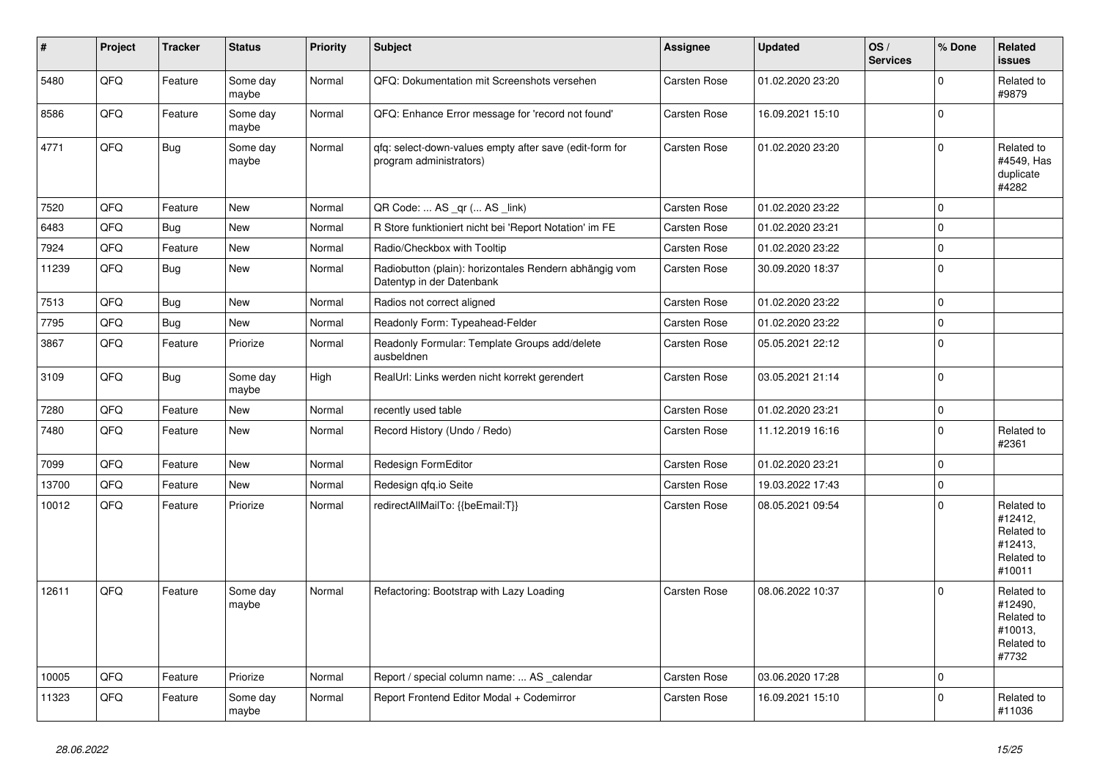| #     | Project | <b>Tracker</b> | <b>Status</b>     | <b>Priority</b> | <b>Subject</b>                                                                      | Assignee            | <b>Updated</b>   | OS/<br><b>Services</b> | % Done       | Related<br><b>issues</b>                                               |
|-------|---------|----------------|-------------------|-----------------|-------------------------------------------------------------------------------------|---------------------|------------------|------------------------|--------------|------------------------------------------------------------------------|
| 5480  | QFQ     | Feature        | Some day<br>maybe | Normal          | QFQ: Dokumentation mit Screenshots versehen                                         | Carsten Rose        | 01.02.2020 23:20 |                        | $\Omega$     | Related to<br>#9879                                                    |
| 8586  | QFQ     | Feature        | Some day<br>maybe | Normal          | QFQ: Enhance Error message for 'record not found'                                   | <b>Carsten Rose</b> | 16.09.2021 15:10 |                        | $\mathbf 0$  |                                                                        |
| 4771  | QFQ     | Bug            | Some day<br>maybe | Normal          | gfg: select-down-values empty after save (edit-form for<br>program administrators)  | <b>Carsten Rose</b> | 01.02.2020 23:20 |                        | <sup>0</sup> | Related to<br>#4549, Has<br>duplicate<br>#4282                         |
| 7520  | QFQ     | Feature        | New               | Normal          | QR Code:  AS _qr ( AS _link)                                                        | Carsten Rose        | 01.02.2020 23:22 |                        | $\Omega$     |                                                                        |
| 6483  | QFQ     | Bug            | <b>New</b>        | Normal          | R Store funktioniert nicht bei 'Report Notation' im FE                              | <b>Carsten Rose</b> | 01.02.2020 23:21 |                        | 0            |                                                                        |
| 7924  | QFQ     | Feature        | New               | Normal          | Radio/Checkbox with Tooltip                                                         | Carsten Rose        | 01.02.2020 23:22 |                        | $\mathbf 0$  |                                                                        |
| 11239 | QFQ     | <b>Bug</b>     | New               | Normal          | Radiobutton (plain): horizontales Rendern abhängig vom<br>Datentyp in der Datenbank | Carsten Rose        | 30.09.2020 18:37 |                        | $\Omega$     |                                                                        |
| 7513  | QFQ     | <b>Bug</b>     | New               | Normal          | Radios not correct aligned                                                          | <b>Carsten Rose</b> | 01.02.2020 23:22 |                        | $\Omega$     |                                                                        |
| 7795  | QFQ     | <b>Bug</b>     | <b>New</b>        | Normal          | Readonly Form: Typeahead-Felder                                                     | <b>Carsten Rose</b> | 01.02.2020 23:22 |                        | $\Omega$     |                                                                        |
| 3867  | QFQ     | Feature        | Priorize          | Normal          | Readonly Formular: Template Groups add/delete<br>ausbeldnen                         | Carsten Rose        | 05.05.2021 22:12 |                        | $\Omega$     |                                                                        |
| 3109  | QFQ     | Bug            | Some day<br>maybe | High            | RealUrl: Links werden nicht korrekt gerendert                                       | <b>Carsten Rose</b> | 03.05.2021 21:14 |                        | $\Omega$     |                                                                        |
| 7280  | QFQ     | Feature        | <b>New</b>        | Normal          | recently used table                                                                 | <b>Carsten Rose</b> | 01.02.2020 23:21 |                        | $\Omega$     |                                                                        |
| 7480  | QFQ     | Feature        | New               | Normal          | Record History (Undo / Redo)                                                        | <b>Carsten Rose</b> | 11.12.2019 16:16 |                        | $\Omega$     | Related to<br>#2361                                                    |
| 7099  | QFQ     | Feature        | <b>New</b>        | Normal          | Redesign FormEditor                                                                 | Carsten Rose        | 01.02.2020 23:21 |                        | $\Omega$     |                                                                        |
| 13700 | QFQ     | Feature        | <b>New</b>        | Normal          | Redesign gfg.io Seite                                                               | <b>Carsten Rose</b> | 19.03.2022 17:43 |                        | 0            |                                                                        |
| 10012 | QFQ     | Feature        | Priorize          | Normal          | redirectAllMailTo: {{beEmail:T}}                                                    | Carsten Rose        | 08.05.2021 09:54 |                        | $\Omega$     | Related to<br>#12412,<br>Related to<br>#12413,<br>Related to<br>#10011 |
| 12611 | QFQ     | Feature        | Some day<br>maybe | Normal          | Refactoring: Bootstrap with Lazy Loading                                            | <b>Carsten Rose</b> | 08.06.2022 10:37 |                        | $\Omega$     | Related to<br>#12490,<br>Related to<br>#10013,<br>Related to<br>#7732  |
| 10005 | QFQ     | Feature        | Priorize          | Normal          | Report / special column name:  AS calendar                                          | <b>Carsten Rose</b> | 03.06.2020 17:28 |                        | $\Omega$     |                                                                        |
| 11323 | QFQ     | Feature        | Some day<br>maybe | Normal          | Report Frontend Editor Modal + Codemirror                                           | Carsten Rose        | 16.09.2021 15:10 |                        | $\Omega$     | Related to<br>#11036                                                   |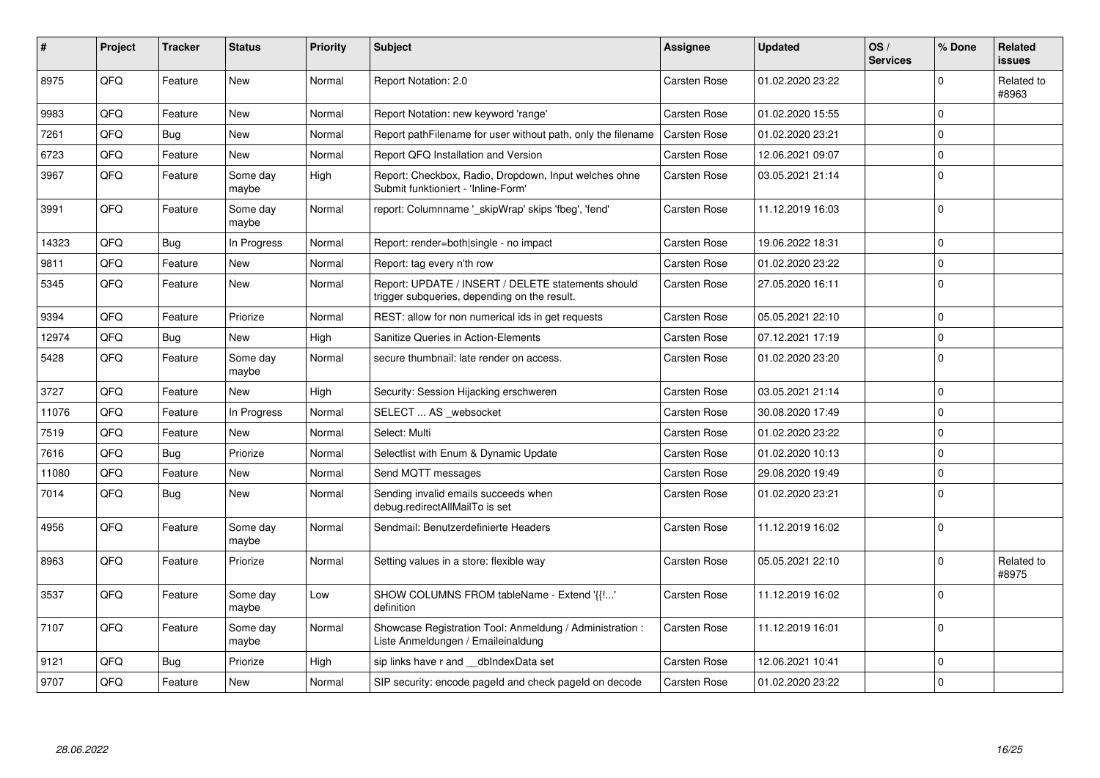| #     | <b>Project</b> | <b>Tracker</b> | <b>Status</b>     | <b>Priority</b> | <b>Subject</b>                                                                                     | Assignee            | <b>Updated</b>   | OS/<br><b>Services</b> | % Done      | Related<br>issues   |
|-------|----------------|----------------|-------------------|-----------------|----------------------------------------------------------------------------------------------------|---------------------|------------------|------------------------|-------------|---------------------|
| 8975  | QFQ            | Feature        | New               | Normal          | Report Notation: 2.0                                                                               | <b>Carsten Rose</b> | 01.02.2020 23:22 |                        | $\Omega$    | Related to<br>#8963 |
| 9983  | QFQ            | Feature        | <b>New</b>        | Normal          | Report Notation: new keyword 'range'                                                               | Carsten Rose        | 01.02.2020 15:55 |                        | $\mathbf 0$ |                     |
| 7261  | QFQ            | Bug            | New               | Normal          | Report pathFilename for user without path, only the filename                                       | Carsten Rose        | 01.02.2020 23:21 |                        | $\mathbf 0$ |                     |
| 6723  | QFQ            | Feature        | New               | Normal          | Report QFQ Installation and Version                                                                | Carsten Rose        | 12.06.2021 09:07 |                        | $\mathbf 0$ |                     |
| 3967  | QFQ            | Feature        | Some day<br>maybe | High            | Report: Checkbox, Radio, Dropdown, Input welches ohne<br>Submit funktioniert - 'Inline-Form'       | <b>Carsten Rose</b> | 03.05.2021 21:14 |                        | $\Omega$    |                     |
| 3991  | QFQ            | Feature        | Some day<br>maybe | Normal          | report: Columnname ' skipWrap' skips 'fbeg', 'fend'                                                | <b>Carsten Rose</b> | 11.12.2019 16:03 |                        | $\mathbf 0$ |                     |
| 14323 | QFQ            | Bug            | In Progress       | Normal          | Report: render=both single - no impact                                                             | Carsten Rose        | 19.06.2022 18:31 |                        | $\mathbf 0$ |                     |
| 9811  | QFQ            | Feature        | New               | Normal          | Report: tag every n'th row                                                                         | <b>Carsten Rose</b> | 01.02.2020 23:22 |                        | $\Omega$    |                     |
| 5345  | QFQ            | Feature        | New               | Normal          | Report: UPDATE / INSERT / DELETE statements should<br>trigger subqueries, depending on the result. | Carsten Rose        | 27.05.2020 16:11 |                        | $\Omega$    |                     |
| 9394  | QFQ            | Feature        | Priorize          | Normal          | REST: allow for non numerical ids in get requests                                                  | Carsten Rose        | 05.05.2021 22:10 |                        | $\mathbf 0$ |                     |
| 12974 | QFQ            | Bug            | New               | High            | <b>Sanitize Queries in Action-Elements</b>                                                         | Carsten Rose        | 07.12.2021 17:19 |                        | $\mathbf 0$ |                     |
| 5428  | QFQ            | Feature        | Some day<br>maybe | Normal          | secure thumbnail: late render on access.                                                           | Carsten Rose        | 01.02.2020 23:20 |                        | $\Omega$    |                     |
| 3727  | QFQ            | Feature        | New               | High            | Security: Session Hijacking erschweren                                                             | Carsten Rose        | 03.05.2021 21:14 |                        | $\mathbf 0$ |                     |
| 11076 | QFQ            | Feature        | In Progress       | Normal          | SELECT  AS _websocket                                                                              | <b>Carsten Rose</b> | 30.08.2020 17:49 |                        | $\Omega$    |                     |
| 7519  | QFQ            | Feature        | <b>New</b>        | Normal          | Select: Multi                                                                                      | Carsten Rose        | 01.02.2020 23:22 |                        | $\mathbf 0$ |                     |
| 7616  | QFQ            | <b>Bug</b>     | Priorize          | Normal          | Selectlist with Enum & Dynamic Update                                                              | <b>Carsten Rose</b> | 01.02.2020 10:13 |                        | $\Omega$    |                     |
| 11080 | QFQ            | Feature        | <b>New</b>        | Normal          | Send MQTT messages                                                                                 | <b>Carsten Rose</b> | 29.08.2020 19:49 |                        | $\mathbf 0$ |                     |
| 7014  | QFQ            | <b>Bug</b>     | <b>New</b>        | Normal          | Sending invalid emails succeeds when<br>debug.redirectAllMailTo is set                             | Carsten Rose        | 01.02.2020 23:21 |                        | $\Omega$    |                     |
| 4956  | QFQ            | Feature        | Some day<br>maybe | Normal          | Sendmail: Benutzerdefinierte Headers                                                               | Carsten Rose        | 11.12.2019 16:02 |                        | $\mathbf 0$ |                     |
| 8963  | QFQ            | Feature        | Priorize          | Normal          | Setting values in a store: flexible way                                                            | <b>Carsten Rose</b> | 05.05.2021 22:10 |                        | $\mathbf 0$ | Related to<br>#8975 |
| 3537  | QFQ            | Feature        | Some day<br>maybe | Low             | SHOW COLUMNS FROM tableName - Extend '{{'<br>definition                                            | <b>Carsten Rose</b> | 11.12.2019 16:02 |                        | $\Omega$    |                     |
| 7107  | QFQ            | Feature        | Some day<br>maybe | Normal          | Showcase Registration Tool: Anmeldung / Administration :<br>Liste Anmeldungen / Emaileinaldung     | Carsten Rose        | 11.12.2019 16:01 |                        | $\Omega$    |                     |
| 9121  | QFQ            | Bug            | Priorize          | High            | sip links have r and dblndexData set                                                               | Carsten Rose        | 12.06.2021 10:41 |                        | $\mathbf 0$ |                     |
| 9707  | QFQ            | Feature        | New               | Normal          | SIP security: encode pageld and check pageld on decode                                             | <b>Carsten Rose</b> | 01.02.2020 23:22 |                        | $\mathbf 0$ |                     |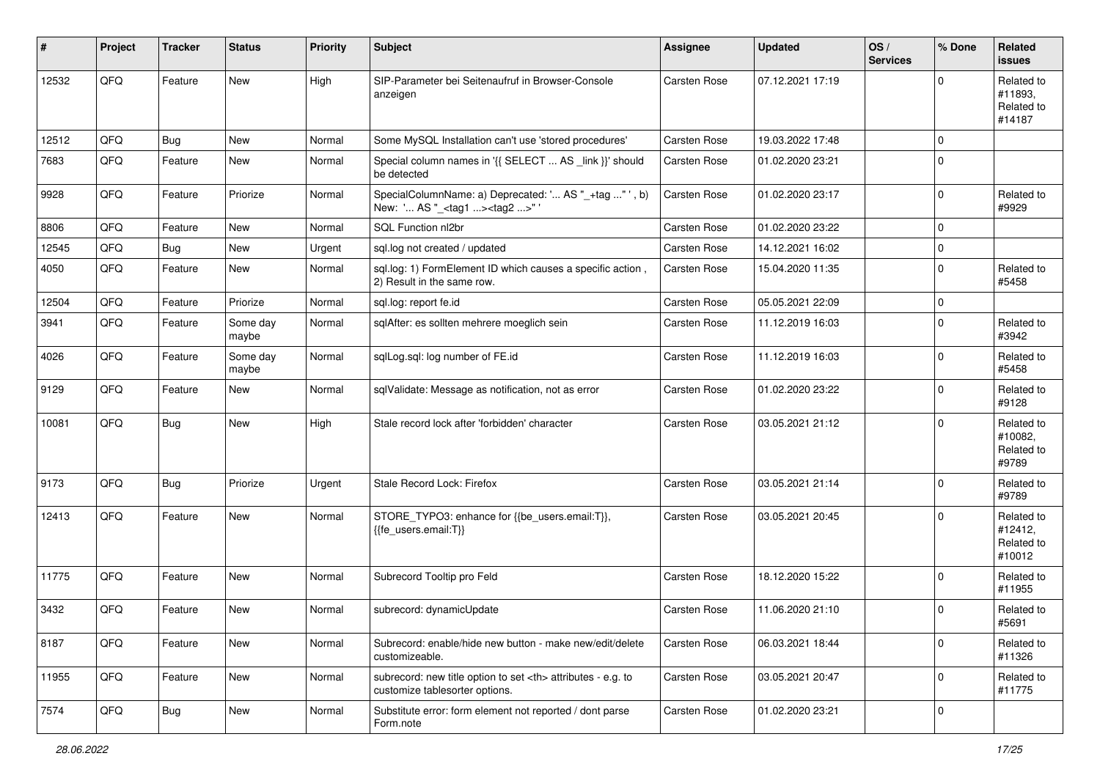| #     | Project | <b>Tracker</b> | <b>Status</b>     | <b>Priority</b> | <b>Subject</b>                                                                                       | Assignee                                               | <b>Updated</b>   | OS/<br><b>Services</b> | % Done      | Related<br><b>issues</b>                      |                      |
|-------|---------|----------------|-------------------|-----------------|------------------------------------------------------------------------------------------------------|--------------------------------------------------------|------------------|------------------------|-------------|-----------------------------------------------|----------------------|
| 12532 | QFQ     | Feature        | New               | High            | SIP-Parameter bei Seitenaufruf in Browser-Console<br>anzeigen                                        | Carsten Rose                                           | 07.12.2021 17:19 |                        | $\Omega$    | Related to<br>#11893,<br>Related to<br>#14187 |                      |
| 12512 | QFQ     | Bug            | <b>New</b>        | Normal          | Some MySQL Installation can't use 'stored procedures'                                                | Carsten Rose                                           | 19.03.2022 17:48 |                        | $\mathbf 0$ |                                               |                      |
| 7683  | QFQ     | Feature        | New               | Normal          | Special column names in '{{ SELECT  AS _link }}' should<br>be detected                               | Carsten Rose                                           | 01.02.2020 23:21 |                        | 0           |                                               |                      |
| 9928  | QFQ     | Feature        | Priorize          | Normal          | SpecialColumnName: a) Deprecated: ' AS "_+tag " ', b)<br>New: ' AS "_ <tag1><tag2>"</tag2></tag1>    | Carsten Rose                                           | 01.02.2020 23:17 |                        | $\mathbf 0$ | Related to<br>#9929                           |                      |
| 8806  | QFQ     | Feature        | New               | Normal          | SQL Function nl2br                                                                                   | Carsten Rose                                           | 01.02.2020 23:22 |                        | 0           |                                               |                      |
| 12545 | QFQ     | <b>Bug</b>     | <b>New</b>        | Urgent          | sql.log not created / updated                                                                        | Carsten Rose                                           | 14.12.2021 16:02 |                        | $\pmb{0}$   |                                               |                      |
| 4050  | QFQ     | Feature        | <b>New</b>        | Normal          | sql.log: 1) FormElement ID which causes a specific action,<br>2) Result in the same row.             | Carsten Rose                                           | 15.04.2020 11:35 |                        | $\mathbf 0$ | Related to<br>#5458                           |                      |
| 12504 | QFQ     | Feature        | Priorize          | Normal          | sql.log: report fe.id                                                                                | Carsten Rose                                           | 05.05.2021 22:09 |                        | $\mathbf 0$ |                                               |                      |
| 3941  | QFQ     | Feature        | Some day<br>maybe | Normal          | sqlAfter: es sollten mehrere moeglich sein                                                           | Carsten Rose                                           | 11.12.2019 16:03 |                        | $\mathbf 0$ | Related to<br>#3942                           |                      |
| 4026  | QFQ     | Feature        | Some day<br>maybe | Normal          | sqlLog.sql: log number of FE.id                                                                      | Carsten Rose                                           | 11.12.2019 16:03 |                        | 0           | Related to<br>#5458                           |                      |
| 9129  | QFQ     | Feature        | New               | Normal          | sqlValidate: Message as notification, not as error                                                   | Carsten Rose                                           | 01.02.2020 23:22 |                        | $\Omega$    | Related to<br>#9128                           |                      |
| 10081 | QFQ     | <b>Bug</b>     | <b>New</b>        | High            | Stale record lock after 'forbidden' character                                                        | Carsten Rose                                           | 03.05.2021 21:12 |                        | $\mathbf 0$ | Related to<br>#10082,<br>Related to<br>#9789  |                      |
| 9173  | QFQ     | <b>Bug</b>     | Priorize          | Urgent          | Stale Record Lock: Firefox                                                                           | Carsten Rose                                           | 03.05.2021 21:14 |                        | $\Omega$    | Related to<br>#9789                           |                      |
| 12413 | QFQ     | Feature        | New               | Normal          | STORE_TYPO3: enhance for {{be_users.email:T}},<br>{{fe users.email:T}}                               | Carsten Rose                                           | 03.05.2021 20:45 |                        | $\mathbf 0$ | Related to<br>#12412,<br>Related to<br>#10012 |                      |
| 11775 | QFQ     | Feature        | New               | Normal          | Subrecord Tooltip pro Feld                                                                           | Carsten Rose                                           | 18.12.2020 15:22 |                        | $\mathbf 0$ | Related to<br>#11955                          |                      |
| 3432  | QFQ     | Feature        | <b>New</b>        | Normal          | subrecord: dynamicUpdate                                                                             | Carsten Rose                                           | 11.06.2020 21:10 |                        | $\Omega$    | Related to<br>#5691                           |                      |
| 8187  | QFQ     | Feature        | New               | Normal          | Subrecord: enable/hide new button - make new/edit/delete<br>customizeable.                           | Carsten Rose                                           | 06.03.2021 18:44 |                        | $\mathbf 0$ | Related to<br>#11326                          |                      |
| 11955 | QFQ     | Feature        | New               | Normal          | subrecord: new title option to set <th> attributes - e.g. to<br/>customize tablesorter options.</th> | attributes - e.g. to<br>customize tablesorter options. | Carsten Rose     | 03.05.2021 20:47       |             | 0                                             | Related to<br>#11775 |
| 7574  | QFQ     | <b>Bug</b>     | New               | Normal          | Substitute error: form element not reported / dont parse<br>Form.note                                | Carsten Rose                                           | 01.02.2020 23:21 |                        | 0           |                                               |                      |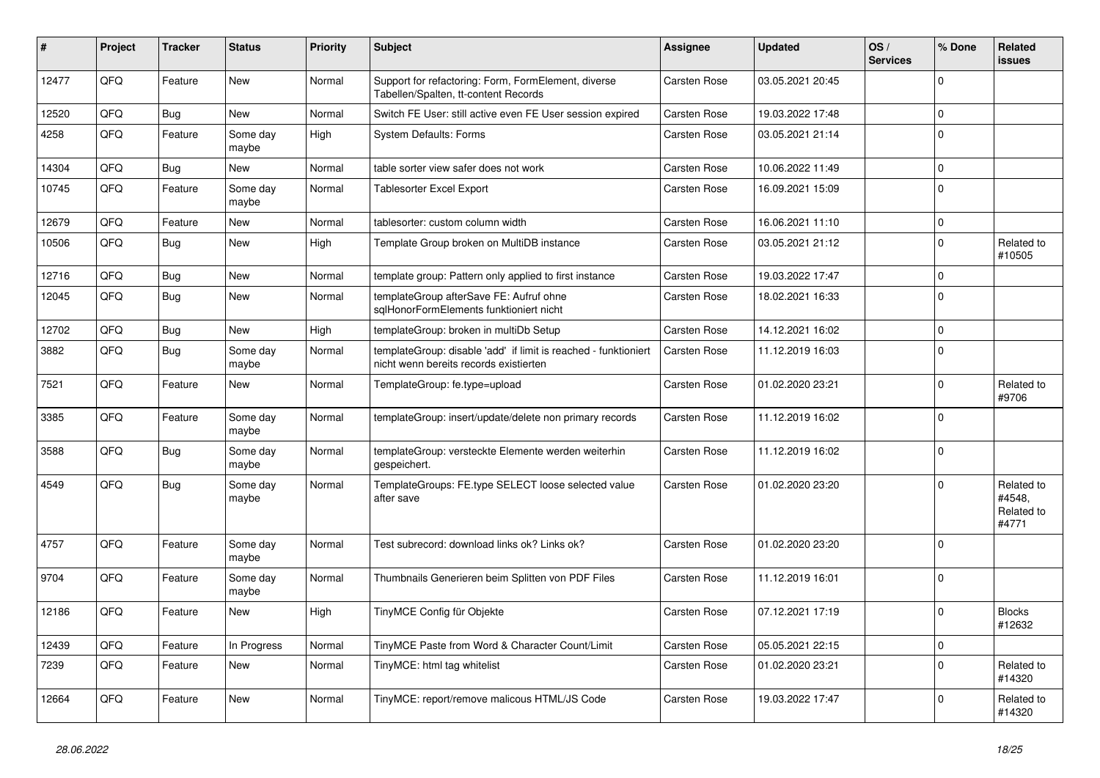| ∦     | Project | <b>Tracker</b> | <b>Status</b>     | <b>Priority</b> | Subject                                                                                                   | Assignee     | <b>Updated</b>   | OS/<br><b>Services</b> | % Done      | Related<br><b>issues</b>                    |
|-------|---------|----------------|-------------------|-----------------|-----------------------------------------------------------------------------------------------------------|--------------|------------------|------------------------|-------------|---------------------------------------------|
| 12477 | QFQ     | Feature        | <b>New</b>        | Normal          | Support for refactoring: Form, FormElement, diverse<br>Tabellen/Spalten, tt-content Records               | Carsten Rose | 03.05.2021 20:45 |                        | $\Omega$    |                                             |
| 12520 | QFQ     | <b>Bug</b>     | <b>New</b>        | Normal          | Switch FE User: still active even FE User session expired                                                 | Carsten Rose | 19.03.2022 17:48 |                        | $\Omega$    |                                             |
| 4258  | QFQ     | Feature        | Some day<br>maybe | High            | <b>System Defaults: Forms</b>                                                                             | Carsten Rose | 03.05.2021 21:14 |                        | $\Omega$    |                                             |
| 14304 | QFQ     | Bug            | <b>New</b>        | Normal          | table sorter view safer does not work                                                                     | Carsten Rose | 10.06.2022 11:49 |                        | $\mathbf 0$ |                                             |
| 10745 | QFQ     | Feature        | Some day<br>maybe | Normal          | <b>Tablesorter Excel Export</b>                                                                           | Carsten Rose | 16.09.2021 15:09 |                        | $\Omega$    |                                             |
| 12679 | QFQ     | Feature        | New               | Normal          | tablesorter: custom column width                                                                          | Carsten Rose | 16.06.2021 11:10 |                        | $\mathbf 0$ |                                             |
| 10506 | QFQ     | Bug            | <b>New</b>        | High            | Template Group broken on MultiDB instance                                                                 | Carsten Rose | 03.05.2021 21:12 |                        | $\mathbf 0$ | Related to<br>#10505                        |
| 12716 | QFQ     | <b>Bug</b>     | <b>New</b>        | Normal          | template group: Pattern only applied to first instance                                                    | Carsten Rose | 19.03.2022 17:47 |                        | $\mathbf 0$ |                                             |
| 12045 | QFQ     | <b>Bug</b>     | <b>New</b>        | Normal          | templateGroup afterSave FE: Aufruf ohne<br>sqlHonorFormElements funktioniert nicht                        | Carsten Rose | 18.02.2021 16:33 |                        | $\mathbf 0$ |                                             |
| 12702 | QFQ     | Bug            | <b>New</b>        | High            | templateGroup: broken in multiDb Setup                                                                    | Carsten Rose | 14.12.2021 16:02 |                        | $\Omega$    |                                             |
| 3882  | QFQ     | <b>Bug</b>     | Some day<br>maybe | Normal          | templateGroup: disable 'add' if limit is reached - funktioniert<br>nicht wenn bereits records existierten | Carsten Rose | 11.12.2019 16:03 |                        | $\Omega$    |                                             |
| 7521  | QFQ     | Feature        | <b>New</b>        | Normal          | TemplateGroup: fe.type=upload                                                                             | Carsten Rose | 01.02.2020 23:21 |                        | $\Omega$    | Related to<br>#9706                         |
| 3385  | QFQ     | Feature        | Some day<br>maybe | Normal          | templateGroup: insert/update/delete non primary records                                                   | Carsten Rose | 11.12.2019 16:02 |                        | $\Omega$    |                                             |
| 3588  | QFQ     | Bug            | Some day<br>maybe | Normal          | templateGroup: versteckte Elemente werden weiterhin<br>gespeichert.                                       | Carsten Rose | 11.12.2019 16:02 |                        | $\Omega$    |                                             |
| 4549  | QFQ     | Bug            | Some day<br>maybe | Normal          | TemplateGroups: FE.type SELECT loose selected value<br>after save                                         | Carsten Rose | 01.02.2020 23:20 |                        | $\Omega$    | Related to<br>#4548,<br>Related to<br>#4771 |
| 4757  | QFQ     | Feature        | Some day<br>maybe | Normal          | Test subrecord: download links ok? Links ok?                                                              | Carsten Rose | 01.02.2020 23:20 |                        | $\Omega$    |                                             |
| 9704  | QFQ     | Feature        | Some day<br>maybe | Normal          | Thumbnails Generieren beim Splitten von PDF Files                                                         | Carsten Rose | 11.12.2019 16:01 |                        | $\Omega$    |                                             |
| 12186 | QFQ     | Feature        | New               | High            | TinyMCE Config für Objekte                                                                                | Carsten Rose | 07.12.2021 17:19 |                        | $\Omega$    | <b>Blocks</b><br>#12632                     |
| 12439 | QFQ     | Feature        | In Progress       | Normal          | TinyMCE Paste from Word & Character Count/Limit                                                           | Carsten Rose | 05.05.2021 22:15 |                        | $\mathbf 0$ |                                             |
| 7239  | QFQ     | Feature        | New               | Normal          | TinyMCE: html tag whitelist                                                                               | Carsten Rose | 01.02.2020 23:21 |                        | $\mathbf 0$ | Related to<br>#14320                        |
| 12664 | QFO     | Feature        | New               | Normal          | TinyMCE: report/remove malicous HTML/JS Code                                                              | Carsten Rose | 19.03.2022 17:47 |                        | 0           | Related to<br>#14320                        |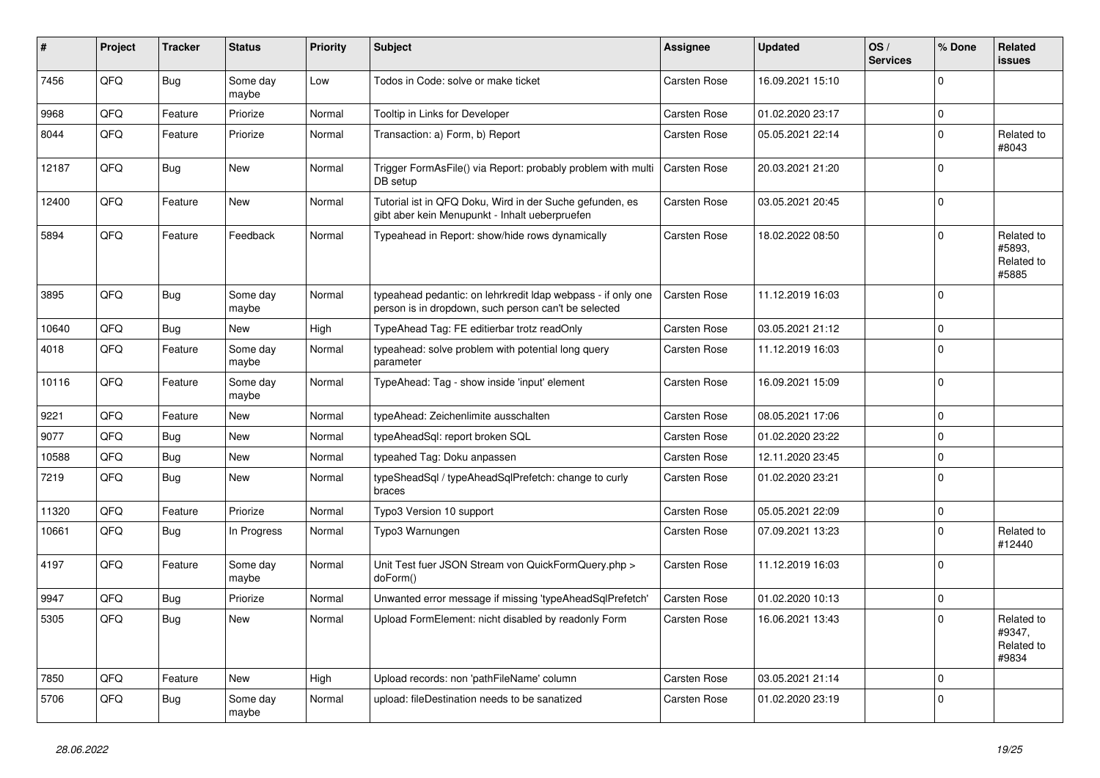| ∦     | Project | <b>Tracker</b> | <b>Status</b>     | <b>Priority</b> | <b>Subject</b>                                                                                                       | Assignee            | <b>Updated</b>   | OS/<br><b>Services</b> | % Done       | Related<br><b>issues</b>                    |
|-------|---------|----------------|-------------------|-----------------|----------------------------------------------------------------------------------------------------------------------|---------------------|------------------|------------------------|--------------|---------------------------------------------|
| 7456  | QFQ     | <b>Bug</b>     | Some day<br>maybe | Low             | Todos in Code: solve or make ticket                                                                                  | <b>Carsten Rose</b> | 16.09.2021 15:10 |                        | $\Omega$     |                                             |
| 9968  | QFQ     | Feature        | Priorize          | Normal          | Tooltip in Links for Developer                                                                                       | Carsten Rose        | 01.02.2020 23:17 |                        | $\mathbf 0$  |                                             |
| 8044  | QFQ     | Feature        | Priorize          | Normal          | Transaction: a) Form, b) Report                                                                                      | <b>Carsten Rose</b> | 05.05.2021 22:14 |                        | $\mathbf 0$  | Related to<br>#8043                         |
| 12187 | QFQ     | <b>Bug</b>     | New               | Normal          | Trigger FormAsFile() via Report: probably problem with multi<br>DB setup                                             | Carsten Rose        | 20.03.2021 21:20 |                        | $\Omega$     |                                             |
| 12400 | QFQ     | Feature        | <b>New</b>        | Normal          | Tutorial ist in QFQ Doku, Wird in der Suche gefunden, es<br>gibt aber kein Menupunkt - Inhalt ueberpruefen           | Carsten Rose        | 03.05.2021 20:45 |                        | $\Omega$     |                                             |
| 5894  | QFQ     | Feature        | Feedback          | Normal          | Typeahead in Report: show/hide rows dynamically                                                                      | Carsten Rose        | 18.02.2022 08:50 |                        | $\Omega$     | Related to<br>#5893.<br>Related to<br>#5885 |
| 3895  | QFQ     | <b>Bug</b>     | Some day<br>maybe | Normal          | typeahead pedantic: on lehrkredit Idap webpass - if only one<br>person is in dropdown, such person can't be selected | <b>Carsten Rose</b> | 11.12.2019 16:03 |                        | $\Omega$     |                                             |
| 10640 | QFQ     | <b>Bug</b>     | New               | High            | TypeAhead Tag: FE editierbar trotz readOnly                                                                          | <b>Carsten Rose</b> | 03.05.2021 21:12 |                        | $\Omega$     |                                             |
| 4018  | QFQ     | Feature        | Some day<br>maybe | Normal          | typeahead: solve problem with potential long query<br>parameter                                                      | <b>Carsten Rose</b> | 11.12.2019 16:03 |                        | $\Omega$     |                                             |
| 10116 | QFQ     | Feature        | Some day<br>maybe | Normal          | TypeAhead: Tag - show inside 'input' element                                                                         | <b>Carsten Rose</b> | 16.09.2021 15:09 |                        | $\Omega$     |                                             |
| 9221  | QFQ     | Feature        | <b>New</b>        | Normal          | typeAhead: Zeichenlimite ausschalten                                                                                 | Carsten Rose        | 08.05.2021 17:06 |                        | 0            |                                             |
| 9077  | QFQ     | Bug            | <b>New</b>        | Normal          | typeAheadSql: report broken SQL                                                                                      | <b>Carsten Rose</b> | 01.02.2020 23:22 |                        | $\Omega$     |                                             |
| 10588 | QFQ     | Bug            | New               | Normal          | typeahed Tag: Doku anpassen                                                                                          | Carsten Rose        | 12.11.2020 23:45 |                        | 0            |                                             |
| 7219  | QFQ     | <b>Bug</b>     | New               | Normal          | typeSheadSql / typeAheadSqlPrefetch: change to curly<br>braces                                                       | Carsten Rose        | 01.02.2020 23:21 |                        | $\mathbf 0$  |                                             |
| 11320 | QFQ     | Feature        | Priorize          | Normal          | Typo3 Version 10 support                                                                                             | <b>Carsten Rose</b> | 05.05.2021 22:09 |                        | $\Omega$     |                                             |
| 10661 | QFQ     | <b>Bug</b>     | In Progress       | Normal          | Typo3 Warnungen                                                                                                      | Carsten Rose        | 07.09.2021 13:23 |                        | <sup>0</sup> | Related to<br>#12440                        |
| 4197  | QFQ     | Feature        | Some day<br>maybe | Normal          | Unit Test fuer JSON Stream von QuickFormQuery.php ><br>doForm()                                                      | Carsten Rose        | 11.12.2019 16:03 |                        | $\Omega$     |                                             |
| 9947  | QFQ     | Bug            | Priorize          | Normal          | Unwanted error message if missing 'typeAheadSqlPrefetch'                                                             | <b>Carsten Rose</b> | 01.02.2020 10:13 |                        | $\Omega$     |                                             |
| 5305  | QFQ     | Bug            | New               | Normal          | Upload FormElement: nicht disabled by readonly Form                                                                  | Carsten Rose        | 16.06.2021 13:43 |                        | $\Omega$     | Related to<br>#9347,<br>Related to<br>#9834 |
| 7850  | QFQ     | Feature        | New               | High            | Upload records: non 'pathFileName' column                                                                            | <b>Carsten Rose</b> | 03.05.2021 21:14 |                        | $\Omega$     |                                             |
| 5706  | QFQ     | <b>Bug</b>     | Some day<br>maybe | Normal          | upload: fileDestination needs to be sanatized                                                                        | Carsten Rose        | 01.02.2020 23:19 |                        | $\Omega$     |                                             |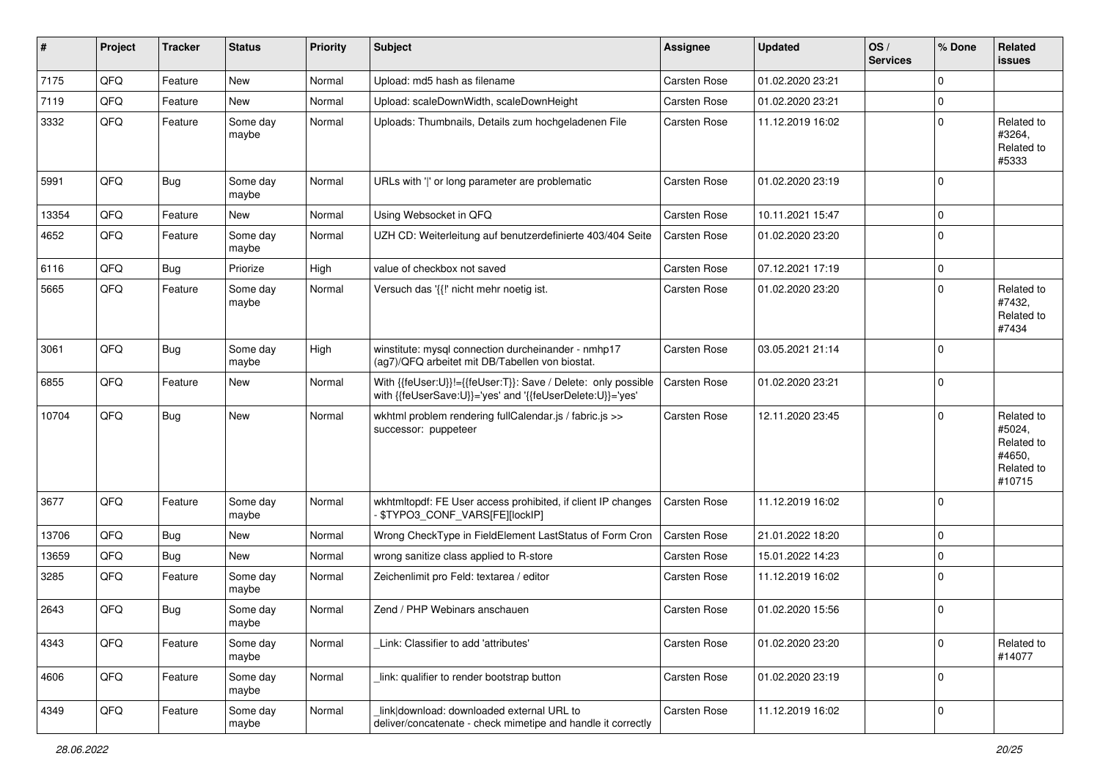| #     | Project | <b>Tracker</b> | <b>Status</b>     | <b>Priority</b> | <b>Subject</b>                                                                                                             | <b>Assignee</b>     | <b>Updated</b>   | OS/<br><b>Services</b> | % Done      | Related<br><b>issues</b>                                             |
|-------|---------|----------------|-------------------|-----------------|----------------------------------------------------------------------------------------------------------------------------|---------------------|------------------|------------------------|-------------|----------------------------------------------------------------------|
| 7175  | QFQ     | Feature        | New               | Normal          | Upload: md5 hash as filename                                                                                               | Carsten Rose        | 01.02.2020 23:21 |                        | $\Omega$    |                                                                      |
| 7119  | QFQ     | Feature        | New               | Normal          | Upload: scaleDownWidth, scaleDownHeight                                                                                    | <b>Carsten Rose</b> | 01.02.2020 23:21 |                        | 0           |                                                                      |
| 3332  | QFQ     | Feature        | Some day<br>maybe | Normal          | Uploads: Thumbnails, Details zum hochgeladenen File                                                                        | <b>Carsten Rose</b> | 11.12.2019 16:02 |                        | $\mathbf 0$ | Related to<br>#3264,<br>Related to<br>#5333                          |
| 5991  | QFQ     | <b>Bug</b>     | Some day<br>maybe | Normal          | URLs with ' ' or long parameter are problematic                                                                            | <b>Carsten Rose</b> | 01.02.2020 23:19 |                        | $\Omega$    |                                                                      |
| 13354 | QFQ     | Feature        | New               | Normal          | Using Websocket in QFQ                                                                                                     | <b>Carsten Rose</b> | 10.11.2021 15:47 |                        | $\Omega$    |                                                                      |
| 4652  | QFQ     | Feature        | Some day<br>maybe | Normal          | UZH CD: Weiterleitung auf benutzerdefinierte 403/404 Seite                                                                 | Carsten Rose        | 01.02.2020 23:20 |                        | $\mathbf 0$ |                                                                      |
| 6116  | QFQ     | Bug            | Priorize          | High            | value of checkbox not saved                                                                                                | Carsten Rose        | 07.12.2021 17:19 |                        | $\mathbf 0$ |                                                                      |
| 5665  | QFQ     | Feature        | Some day<br>maybe | Normal          | Versuch das '{{!' nicht mehr noetig ist.                                                                                   | Carsten Rose        | 01.02.2020 23:20 |                        | $\Omega$    | Related to<br>#7432,<br>Related to<br>#7434                          |
| 3061  | QFQ     | <b>Bug</b>     | Some day<br>maybe | High            | winstitute: mysql connection durcheinander - nmhp17<br>(ag7)/QFQ arbeitet mit DB/Tabellen von biostat.                     | <b>Carsten Rose</b> | 03.05.2021 21:14 |                        | $\mathbf 0$ |                                                                      |
| 6855  | QFQ     | Feature        | New               | Normal          | With {{feUser:U}}!={{feUser:T}}: Save / Delete: only possible<br>with {{feUserSave:U}}='yes' and '{{feUserDelete:U}}='yes' | <b>Carsten Rose</b> | 01.02.2020 23:21 |                        | 0           |                                                                      |
| 10704 | QFQ     | <b>Bug</b>     | New               | Normal          | wkhtml problem rendering fullCalendar.js / fabric.js >><br>successor: puppeteer                                            | Carsten Rose        | 12.11.2020 23:45 |                        | $\Omega$    | Related to<br>#5024,<br>Related to<br>#4650,<br>Related to<br>#10715 |
| 3677  | QFQ     | Feature        | Some day<br>maybe | Normal          | wkhtmitopdf: FE User access prohibited, if client IP changes<br>\$TYPO3_CONF_VARS[FE][lockIP]                              | Carsten Rose        | 11.12.2019 16:02 |                        | $\Omega$    |                                                                      |
| 13706 | QFQ     | Bug            | New               | Normal          | Wrong CheckType in FieldElement LastStatus of Form Cron                                                                    | Carsten Rose        | 21.01.2022 18:20 |                        | 0           |                                                                      |
| 13659 | QFQ     | <b>Bug</b>     | New               | Normal          | wrong sanitize class applied to R-store                                                                                    | <b>Carsten Rose</b> | 15.01.2022 14:23 |                        | 0           |                                                                      |
| 3285  | QFQ     | Feature        | Some day<br>maybe | Normal          | Zeichenlimit pro Feld: textarea / editor                                                                                   | <b>Carsten Rose</b> | 11.12.2019 16:02 |                        | $\mathbf 0$ |                                                                      |
| 2643  | QFQ     | <b>Bug</b>     | Some day<br>maybe | Normal          | Zend / PHP Webinars anschauen                                                                                              | Carsten Rose        | 01.02.2020 15:56 |                        | $\Omega$    |                                                                      |
| 4343  | QFQ     | Feature        | Some day<br>maybe | Normal          | Link: Classifier to add 'attributes'                                                                                       | <b>Carsten Rose</b> | 01.02.2020 23:20 |                        | $\mathbf 0$ | Related to<br>#14077                                                 |
| 4606  | QFQ     | Feature        | Some day<br>maybe | Normal          | link: qualifier to render bootstrap button                                                                                 | <b>Carsten Rose</b> | 01.02.2020 23:19 |                        | $\mathbf 0$ |                                                                      |
| 4349  | QFQ     | Feature        | Some day<br>maybe | Normal          | link download: downloaded external URL to<br>deliver/concatenate - check mimetipe and handle it correctly                  | Carsten Rose        | 11.12.2019 16:02 |                        | $\mathbf 0$ |                                                                      |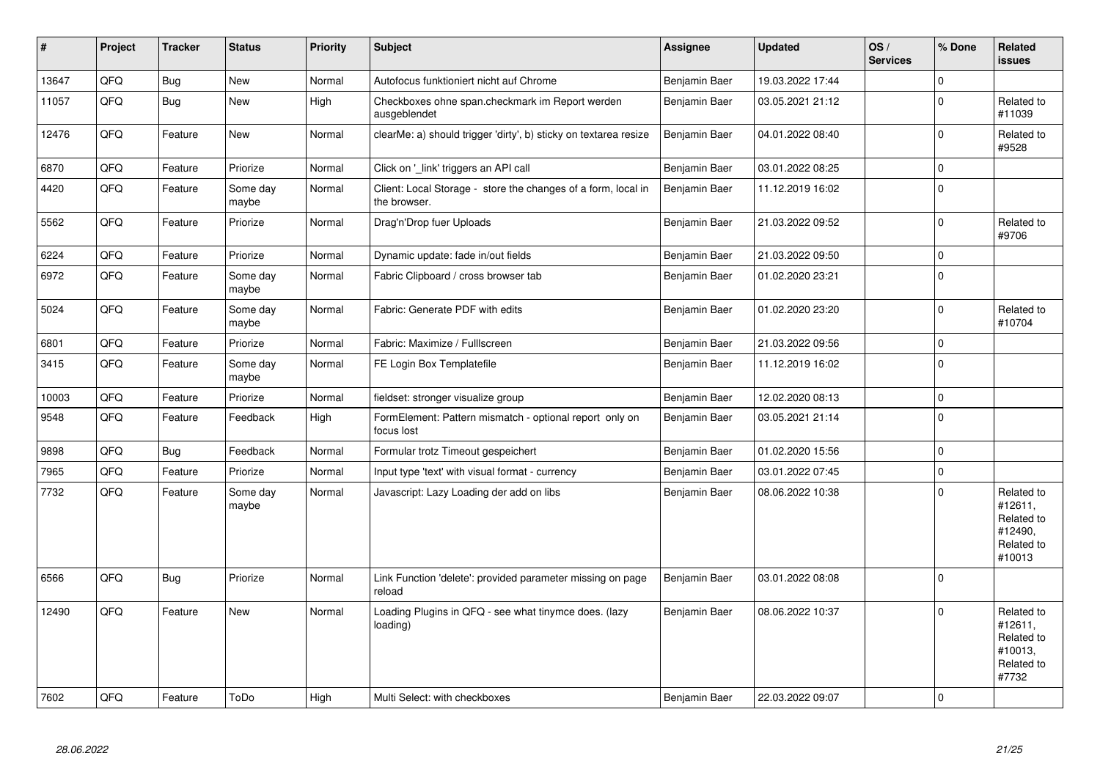| #     | Project | <b>Tracker</b> | <b>Status</b>     | <b>Priority</b> | <b>Subject</b>                                                                | <b>Assignee</b> | <b>Updated</b>   | OS/<br><b>Services</b> | % Done      | <b>Related</b><br><b>issues</b>                                        |
|-------|---------|----------------|-------------------|-----------------|-------------------------------------------------------------------------------|-----------------|------------------|------------------------|-------------|------------------------------------------------------------------------|
| 13647 | QFQ     | <b>Bug</b>     | New               | Normal          | Autofocus funktioniert nicht auf Chrome                                       | Benjamin Baer   | 19.03.2022 17:44 |                        | $\mathbf 0$ |                                                                        |
| 11057 | QFQ     | <b>Bug</b>     | New               | High            | Checkboxes ohne span.checkmark im Report werden<br>ausgeblendet               | Benjamin Baer   | 03.05.2021 21:12 |                        | $\pmb{0}$   | Related to<br>#11039                                                   |
| 12476 | QFQ     | Feature        | New               | Normal          | clearMe: a) should trigger 'dirty', b) sticky on textarea resize              | Benjamin Baer   | 04.01.2022 08:40 |                        | $\mathbf 0$ | Related to<br>#9528                                                    |
| 6870  | QFQ     | Feature        | Priorize          | Normal          | Click on 'link' triggers an API call                                          | Benjamin Baer   | 03.01.2022 08:25 |                        | $\pmb{0}$   |                                                                        |
| 4420  | QFQ     | Feature        | Some day<br>maybe | Normal          | Client: Local Storage - store the changes of a form, local in<br>the browser. | Benjamin Baer   | 11.12.2019 16:02 |                        | $\mathbf 0$ |                                                                        |
| 5562  | QFQ     | Feature        | Priorize          | Normal          | Drag'n'Drop fuer Uploads                                                      | Benjamin Baer   | 21.03.2022 09:52 |                        | $\mathbf 0$ | Related to<br>#9706                                                    |
| 6224  | QFQ     | Feature        | Priorize          | Normal          | Dynamic update: fade in/out fields                                            | Benjamin Baer   | 21.03.2022 09:50 |                        | $\mathbf 0$ |                                                                        |
| 6972  | QFQ     | Feature        | Some day<br>maybe | Normal          | Fabric Clipboard / cross browser tab                                          | Benjamin Baer   | 01.02.2020 23:21 |                        | $\mathbf 0$ |                                                                        |
| 5024  | QFQ     | Feature        | Some day<br>maybe | Normal          | Fabric: Generate PDF with edits                                               | Benjamin Baer   | 01.02.2020 23:20 |                        | $\mathbf 0$ | Related to<br>#10704                                                   |
| 6801  | QFQ     | Feature        | Priorize          | Normal          | Fabric: Maximize / Fulllscreen                                                | Benjamin Baer   | 21.03.2022 09:56 |                        | $\pmb{0}$   |                                                                        |
| 3415  | QFQ     | Feature        | Some day<br>maybe | Normal          | FE Login Box Templatefile                                                     | Benjamin Baer   | 11.12.2019 16:02 |                        | $\mathbf 0$ |                                                                        |
| 10003 | QFQ     | Feature        | Priorize          | Normal          | fieldset: stronger visualize group                                            | Benjamin Baer   | 12.02.2020 08:13 |                        | $\pmb{0}$   |                                                                        |
| 9548  | QFQ     | Feature        | Feedback          | High            | FormElement: Pattern mismatch - optional report only on<br>focus lost         | Benjamin Baer   | 03.05.2021 21:14 |                        | $\mathbf 0$ |                                                                        |
| 9898  | QFQ     | <b>Bug</b>     | Feedback          | Normal          | Formular trotz Timeout gespeichert                                            | Benjamin Baer   | 01.02.2020 15:56 |                        | $\mathbf 0$ |                                                                        |
| 7965  | QFQ     | Feature        | Priorize          | Normal          | Input type 'text' with visual format - currency                               | Benjamin Baer   | 03.01.2022 07:45 |                        | $\pmb{0}$   |                                                                        |
| 7732  | QFQ     | Feature        | Some day<br>maybe | Normal          | Javascript: Lazy Loading der add on libs                                      | Benjamin Baer   | 08.06.2022 10:38 |                        | $\mathbf 0$ | Related to<br>#12611,<br>Related to<br>#12490,<br>Related to<br>#10013 |
| 6566  | QFQ     | <b>Bug</b>     | Priorize          | Normal          | Link Function 'delete': provided parameter missing on page<br>reload          | Benjamin Baer   | 03.01.2022 08:08 |                        | $\mathbf 0$ |                                                                        |
| 12490 | QFQ     | Feature        | New               | Normal          | Loading Plugins in QFQ - see what tinymce does. (lazy<br>loading)             | Benjamin Baer   | 08.06.2022 10:37 |                        | $\Omega$    | Related to<br>#12611,<br>Related to<br>#10013,<br>Related to<br>#7732  |
| 7602  | QFQ     | Feature        | ToDo              | High            | Multi Select: with checkboxes                                                 | Benjamin Baer   | 22.03.2022 09:07 |                        | $\mathbf 0$ |                                                                        |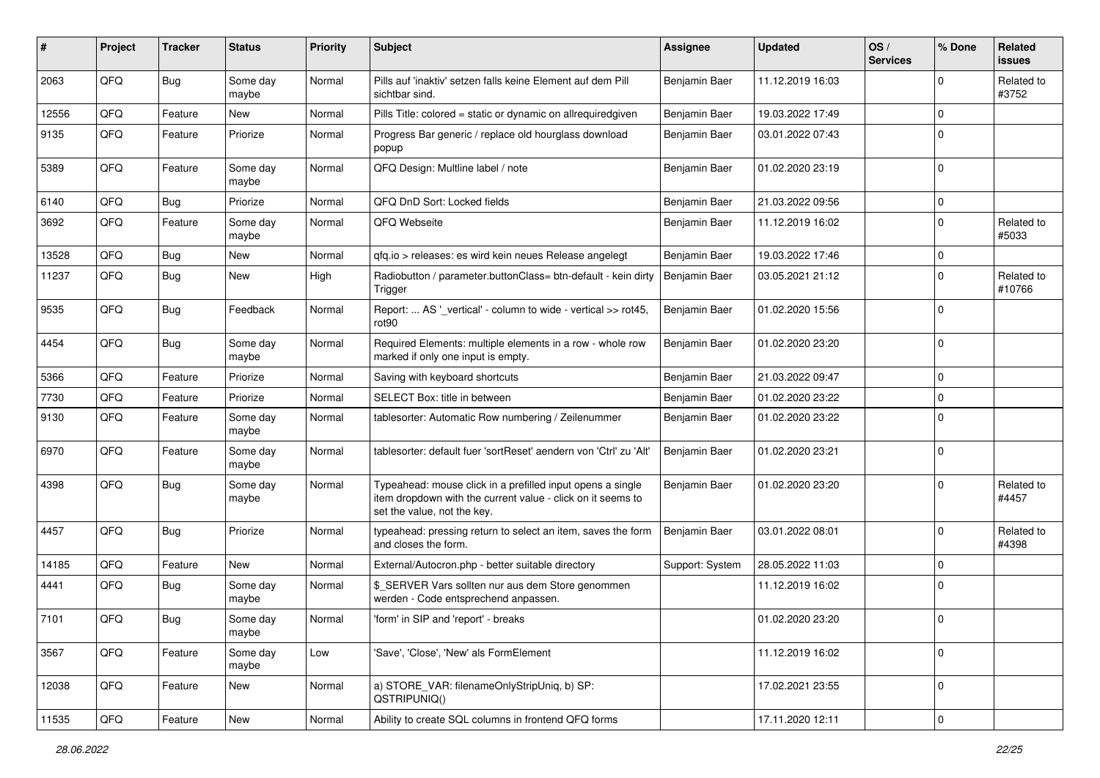| ∦     | Project | <b>Tracker</b> | <b>Status</b>     | <b>Priority</b> | <b>Subject</b>                                                                                                                                           | Assignee        | <b>Updated</b>   | OS/<br><b>Services</b> | % Done              | Related<br>issues    |
|-------|---------|----------------|-------------------|-----------------|----------------------------------------------------------------------------------------------------------------------------------------------------------|-----------------|------------------|------------------------|---------------------|----------------------|
| 2063  | QFQ     | Bug            | Some day<br>maybe | Normal          | Pills auf 'inaktiv' setzen falls keine Element auf dem Pill<br>sichtbar sind.                                                                            | Benjamin Baer   | 11.12.2019 16:03 |                        | $\mathbf 0$         | Related to<br>#3752  |
| 12556 | QFQ     | Feature        | New               | Normal          | Pills Title: colored = static or dynamic on allrequiredgiven                                                                                             | Benjamin Baer   | 19.03.2022 17:49 |                        | 0                   |                      |
| 9135  | QFQ     | Feature        | Priorize          | Normal          | Progress Bar generic / replace old hourglass download<br>popup                                                                                           | Benjamin Baer   | 03.01.2022 07:43 |                        | 0                   |                      |
| 5389  | QFQ     | Feature        | Some day<br>maybe | Normal          | QFQ Design: Multline label / note                                                                                                                        | Benjamin Baer   | 01.02.2020 23:19 |                        | 0                   |                      |
| 6140  | QFQ     | <b>Bug</b>     | Priorize          | Normal          | QFQ DnD Sort: Locked fields                                                                                                                              | Benjamin Baer   | 21.03.2022 09:56 |                        | 0                   |                      |
| 3692  | QFQ     | Feature        | Some day<br>maybe | Normal          | QFQ Webseite                                                                                                                                             | Benjamin Baer   | 11.12.2019 16:02 |                        | $\mathbf 0$         | Related to<br>#5033  |
| 13528 | QFQ     | <b>Bug</b>     | <b>New</b>        | Normal          | qfq.io > releases: es wird kein neues Release angelegt                                                                                                   | Benjamin Baer   | 19.03.2022 17:46 |                        | 0                   |                      |
| 11237 | QFQ     | <b>Bug</b>     | New               | High            | Radiobutton / parameter.buttonClass= btn-default - kein dirty<br>Trigger                                                                                 | Benjamin Baer   | 03.05.2021 21:12 |                        | $\mathbf 0$         | Related to<br>#10766 |
| 9535  | QFQ     | <b>Bug</b>     | Feedback          | Normal          | Report:  AS '_vertical' - column to wide - vertical >> rot45,<br>rot <sub>90</sub>                                                                       | Benjamin Baer   | 01.02.2020 15:56 |                        | $\mathbf 0$         |                      |
| 4454  | QFQ     | <b>Bug</b>     | Some day<br>maybe | Normal          | Required Elements: multiple elements in a row - whole row<br>marked if only one input is empty.                                                          | Benjamin Baer   | 01.02.2020 23:20 |                        | 0                   |                      |
| 5366  | QFQ     | Feature        | Priorize          | Normal          | Saving with keyboard shortcuts                                                                                                                           | Benjamin Baer   | 21.03.2022 09:47 |                        | 0                   |                      |
| 7730  | QFQ     | Feature        | Priorize          | Normal          | SELECT Box: title in between                                                                                                                             | Benjamin Baer   | 01.02.2020 23:22 |                        | $\mathbf 0$         |                      |
| 9130  | QFQ     | Feature        | Some day<br>maybe | Normal          | tablesorter: Automatic Row numbering / Zeilenummer                                                                                                       | Benjamin Baer   | 01.02.2020 23:22 |                        | $\mathbf 0$         |                      |
| 6970  | QFQ     | Feature        | Some day<br>maybe | Normal          | tablesorter: default fuer 'sortReset' aendern von 'Ctrl' zu 'Alt'                                                                                        | Benjamin Baer   | 01.02.2020 23:21 |                        | 0                   |                      |
| 4398  | QFQ     | <b>Bug</b>     | Some day<br>maybe | Normal          | Typeahead: mouse click in a prefilled input opens a single<br>item dropdown with the current value - click on it seems to<br>set the value, not the key. | Benjamin Baer   | 01.02.2020 23:20 |                        | $\mathbf 0$         | Related to<br>#4457  |
| 4457  | QFQ     | <b>Bug</b>     | Priorize          | Normal          | typeahead: pressing return to select an item, saves the form<br>and closes the form.                                                                     | Benjamin Baer   | 03.01.2022 08:01 |                        | 0                   | Related to<br>#4398  |
| 14185 | QFQ     | Feature        | New               | Normal          | External/Autocron.php - better suitable directory                                                                                                        | Support: System | 28.05.2022 11:03 |                        | $\mathbf 0$         |                      |
| 4441  | QFQ     | Bug            | Some day<br>maybe | Normal          | \$ SERVER Vars sollten nur aus dem Store genommen<br>werden - Code entsprechend anpassen.                                                                |                 | 11.12.2019 16:02 |                        | 0                   |                      |
| 7101  | QFQ     | Bug            | Some day<br>maybe | Normal          | 'form' in SIP and 'report' - breaks                                                                                                                      |                 | 01.02.2020 23:20 |                        | $\mathbf 0$         |                      |
| 3567  | QFQ     | Feature        | Some day<br>maybe | Low             | 'Save', 'Close', 'New' als FormElement                                                                                                                   |                 | 11.12.2019 16:02 |                        | 0                   |                      |
| 12038 | QFQ     | Feature        | New               | Normal          | a) STORE_VAR: filenameOnlyStripUniq, b) SP:<br>QSTRIPUNIQ()                                                                                              |                 | 17.02.2021 23:55 |                        | $\mathbf 0$         |                      |
| 11535 | QFQ     | Feature        | New               | Normal          | Ability to create SQL columns in frontend QFQ forms                                                                                                      |                 | 17.11.2020 12:11 |                        | $\mathsf{O}\xspace$ |                      |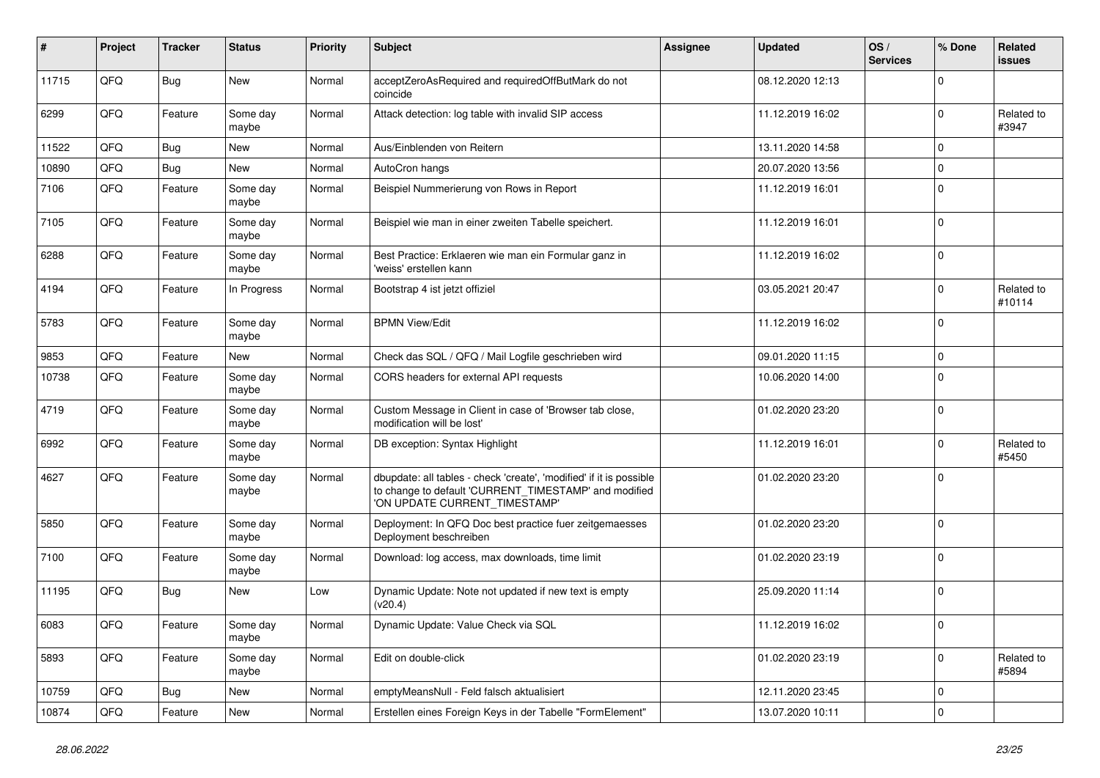| ∦     | Project | <b>Tracker</b> | <b>Status</b>     | <b>Priority</b> | <b>Subject</b>                                                                                                                                                | Assignee | <b>Updated</b>   | OS/<br><b>Services</b> | % Done       | Related<br>issues    |
|-------|---------|----------------|-------------------|-----------------|---------------------------------------------------------------------------------------------------------------------------------------------------------------|----------|------------------|------------------------|--------------|----------------------|
| 11715 | QFQ     | Bug            | New               | Normal          | acceptZeroAsRequired and requiredOffButMark do not<br>coincide                                                                                                |          | 08.12.2020 12:13 |                        | $\mathbf 0$  |                      |
| 6299  | QFQ     | Feature        | Some day<br>maybe | Normal          | Attack detection: log table with invalid SIP access                                                                                                           |          | 11.12.2019 16:02 |                        | 0            | Related to<br>#3947  |
| 11522 | QFQ     | <b>Bug</b>     | <b>New</b>        | Normal          | Aus/Einblenden von Reitern                                                                                                                                    |          | 13.11.2020 14:58 |                        | $\mathbf 0$  |                      |
| 10890 | QFQ     | <b>Bug</b>     | New               | Normal          | AutoCron hangs                                                                                                                                                |          | 20.07.2020 13:56 |                        | $\mathbf 0$  |                      |
| 7106  | QFQ     | Feature        | Some day<br>maybe | Normal          | Beispiel Nummerierung von Rows in Report                                                                                                                      |          | 11.12.2019 16:01 |                        | $\mathbf 0$  |                      |
| 7105  | QFQ     | Feature        | Some day<br>maybe | Normal          | Beispiel wie man in einer zweiten Tabelle speichert.                                                                                                          |          | 11.12.2019 16:01 |                        | $\mathbf 0$  |                      |
| 6288  | QFQ     | Feature        | Some day<br>maybe | Normal          | Best Practice: Erklaeren wie man ein Formular ganz in<br>'weiss' erstellen kann                                                                               |          | 11.12.2019 16:02 |                        | 0            |                      |
| 4194  | QFQ     | Feature        | In Progress       | Normal          | Bootstrap 4 ist jetzt offiziel                                                                                                                                |          | 03.05.2021 20:47 |                        | $\mathbf 0$  | Related to<br>#10114 |
| 5783  | QFQ     | Feature        | Some day<br>maybe | Normal          | <b>BPMN View/Edit</b>                                                                                                                                         |          | 11.12.2019 16:02 |                        | $\mathbf 0$  |                      |
| 9853  | QFQ     | Feature        | New               | Normal          | Check das SQL / QFQ / Mail Logfile geschrieben wird                                                                                                           |          | 09.01.2020 11:15 |                        | $\mathbf{0}$ |                      |
| 10738 | QFQ     | Feature        | Some day<br>maybe | Normal          | CORS headers for external API requests                                                                                                                        |          | 10.06.2020 14:00 |                        | 0            |                      |
| 4719  | QFQ     | Feature        | Some day<br>maybe | Normal          | Custom Message in Client in case of 'Browser tab close,<br>modification will be lost'                                                                         |          | 01.02.2020 23:20 |                        | $\mathbf 0$  |                      |
| 6992  | QFQ     | Feature        | Some day<br>maybe | Normal          | DB exception: Syntax Highlight                                                                                                                                |          | 11.12.2019 16:01 |                        | $\mathbf 0$  | Related to<br>#5450  |
| 4627  | QFQ     | Feature        | Some day<br>maybe | Normal          | dbupdate: all tables - check 'create', 'modified' if it is possible<br>to change to default 'CURRENT_TIMESTAMP' and modified<br>'ON UPDATE CURRENT_TIMESTAMP' |          | 01.02.2020 23:20 |                        | $\Omega$     |                      |
| 5850  | QFQ     | Feature        | Some day<br>maybe | Normal          | Deployment: In QFQ Doc best practice fuer zeitgemaesses<br>Deployment beschreiben                                                                             |          | 01.02.2020 23:20 |                        | 0            |                      |
| 7100  | QFQ     | Feature        | Some day<br>maybe | Normal          | Download: log access, max downloads, time limit                                                                                                               |          | 01.02.2020 23:19 |                        | 0            |                      |
| 11195 | QFQ     | Bug            | New               | Low             | Dynamic Update: Note not updated if new text is empty<br>(v20.4)                                                                                              |          | 25.09.2020 11:14 |                        | $\mathbf 0$  |                      |
| 6083  | QFQ     | Feature        | Some day<br>maybe | Normal          | Dynamic Update: Value Check via SQL                                                                                                                           |          | 11.12.2019 16:02 |                        | $\mathbf{0}$ |                      |
| 5893  | QFQ     | Feature        | Some day<br>maybe | Normal          | Edit on double-click                                                                                                                                          |          | 01.02.2020 23:19 |                        | $\mathbf 0$  | Related to<br>#5894  |
| 10759 | QFQ     | <b>Bug</b>     | New               | Normal          | emptyMeansNull - Feld falsch aktualisiert                                                                                                                     |          | 12.11.2020 23:45 |                        | $\mathbf 0$  |                      |
| 10874 | QFQ     | Feature        | New               | Normal          | Erstellen eines Foreign Keys in der Tabelle "FormElement"                                                                                                     |          | 13.07.2020 10:11 |                        | $\mathbf 0$  |                      |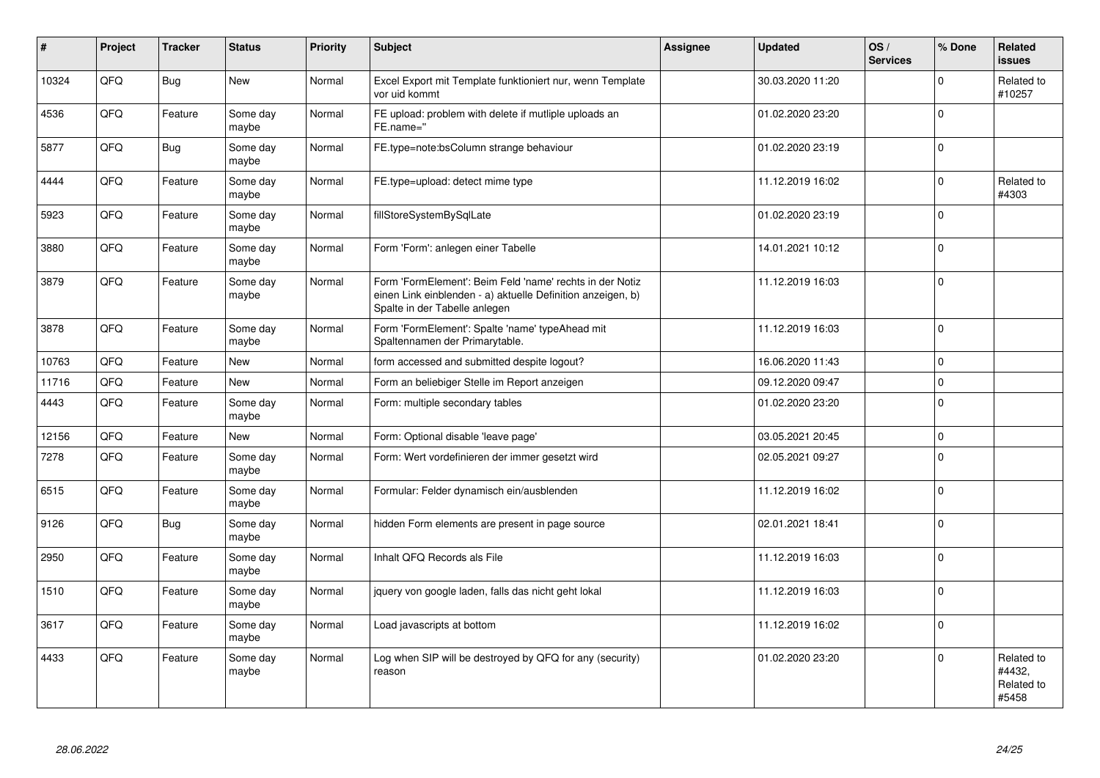| #     | Project | <b>Tracker</b> | <b>Status</b>     | <b>Priority</b> | <b>Subject</b>                                                                                                                                           | <b>Assignee</b> | <b>Updated</b>   | OS/<br><b>Services</b> | % Done         | Related<br>issues                           |
|-------|---------|----------------|-------------------|-----------------|----------------------------------------------------------------------------------------------------------------------------------------------------------|-----------------|------------------|------------------------|----------------|---------------------------------------------|
| 10324 | QFQ     | <b>Bug</b>     | <b>New</b>        | Normal          | Excel Export mit Template funktioniert nur, wenn Template<br>vor uid kommt                                                                               |                 | 30.03.2020 11:20 |                        | $\Omega$       | Related to<br>#10257                        |
| 4536  | QFQ     | Feature        | Some day<br>maybe | Normal          | FE upload: problem with delete if mutliple uploads an<br>FE.name="                                                                                       |                 | 01.02.2020 23:20 |                        | $\Omega$       |                                             |
| 5877  | QFQ     | <b>Bug</b>     | Some day<br>maybe | Normal          | FE.type=note:bsColumn strange behaviour                                                                                                                  |                 | 01.02.2020 23:19 |                        | $\Omega$       |                                             |
| 4444  | QFQ     | Feature        | Some day<br>maybe | Normal          | FE.type=upload: detect mime type                                                                                                                         |                 | 11.12.2019 16:02 |                        | $\Omega$       | Related to<br>#4303                         |
| 5923  | QFQ     | Feature        | Some day<br>maybe | Normal          | fillStoreSystemBySqlLate                                                                                                                                 |                 | 01.02.2020 23:19 |                        | $\Omega$       |                                             |
| 3880  | QFQ     | Feature        | Some day<br>maybe | Normal          | Form 'Form': anlegen einer Tabelle                                                                                                                       |                 | 14.01.2021 10:12 |                        | $\Omega$       |                                             |
| 3879  | QFQ     | Feature        | Some day<br>maybe | Normal          | Form 'FormElement': Beim Feld 'name' rechts in der Notiz<br>einen Link einblenden - a) aktuelle Definition anzeigen, b)<br>Spalte in der Tabelle anlegen |                 | 11.12.2019 16:03 |                        | $\overline{0}$ |                                             |
| 3878  | QFQ     | Feature        | Some day<br>maybe | Normal          | Form 'FormElement': Spalte 'name' typeAhead mit<br>Spaltennamen der Primarytable.                                                                        |                 | 11.12.2019 16:03 |                        | $\Omega$       |                                             |
| 10763 | QFQ     | Feature        | New               | Normal          | form accessed and submitted despite logout?                                                                                                              |                 | 16.06.2020 11:43 |                        | $\mathbf 0$    |                                             |
| 11716 | QFQ     | Feature        | <b>New</b>        | Normal          | Form an beliebiger Stelle im Report anzeigen                                                                                                             |                 | 09.12.2020 09:47 |                        | $\Omega$       |                                             |
| 4443  | QFQ     | Feature        | Some day<br>maybe | Normal          | Form: multiple secondary tables                                                                                                                          |                 | 01.02.2020 23:20 |                        | $\Omega$       |                                             |
| 12156 | QFQ     | Feature        | <b>New</b>        | Normal          | Form: Optional disable 'leave page'                                                                                                                      |                 | 03.05.2021 20:45 |                        | $\Omega$       |                                             |
| 7278  | QFQ     | Feature        | Some day<br>maybe | Normal          | Form: Wert vordefinieren der immer gesetzt wird                                                                                                          |                 | 02.05.2021 09:27 |                        | $\Omega$       |                                             |
| 6515  | QFQ     | Feature        | Some day<br>maybe | Normal          | Formular: Felder dynamisch ein/ausblenden                                                                                                                |                 | 11.12.2019 16:02 |                        | $\Omega$       |                                             |
| 9126  | QFQ     | <b>Bug</b>     | Some day<br>maybe | Normal          | hidden Form elements are present in page source                                                                                                          |                 | 02.01.2021 18:41 |                        | $\Omega$       |                                             |
| 2950  | QFQ     | Feature        | Some day<br>maybe | Normal          | Inhalt QFQ Records als File                                                                                                                              |                 | 11.12.2019 16:03 |                        | $\Omega$       |                                             |
| 1510  | QFQ     | Feature        | Some day<br>maybe | Normal          | jquery von google laden, falls das nicht geht lokal                                                                                                      |                 | 11.12.2019 16:03 |                        | 0              |                                             |
| 3617  | QFQ     | Feature        | Some day<br>maybe | Normal          | Load javascripts at bottom                                                                                                                               |                 | 11.12.2019 16:02 |                        | $\Omega$       |                                             |
| 4433  | QFQ     | Feature        | Some day<br>maybe | Normal          | Log when SIP will be destroyed by QFQ for any (security)<br>reason                                                                                       |                 | 01.02.2020 23:20 |                        | $\Omega$       | Related to<br>#4432,<br>Related to<br>#5458 |